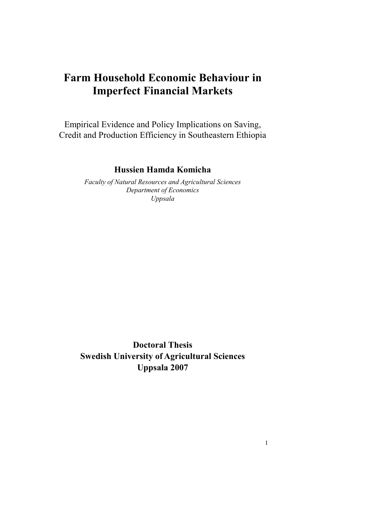# **Farm Household Economic Behaviour in Imperfect Financial Markets**

Empirical Evidence and Policy Implications on Saving, Credit and Production Efficiency in Southeastern Ethiopia

## **Hussien Hamda Komicha**

*Faculty of Natural Resources and Agricultural Sciences Department of Economics Uppsala* 

**Doctoral Thesis Swedish University of Agricultural Sciences Uppsala 2007** 

1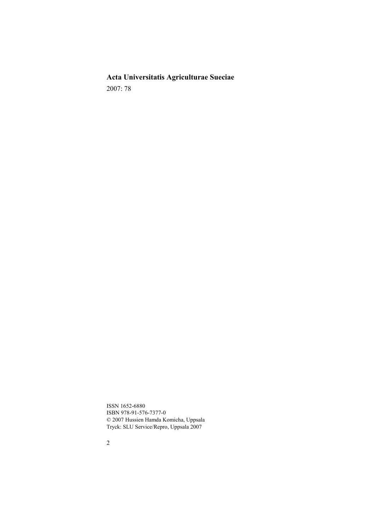**Acta Universitatis Agriculturae Sueciae**  2007: 78

ISSN 1652-6880 ISBN 978-91-576-7377-0 © 2007 Hussien Hamda Komicha, Uppsala Tryck: SLU Service/Repro, Uppsala 2007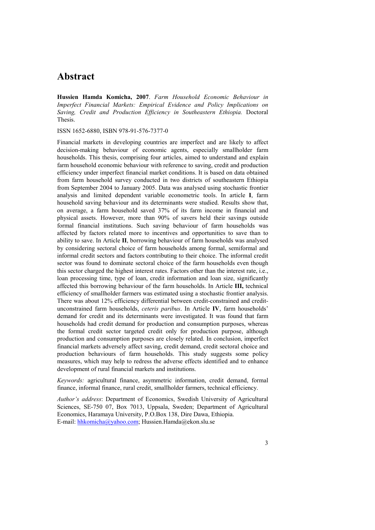## **Abstract**

**Hussien Hamda Komicha, 2007**. *Farm Household Economic Behaviour in Imperfect Financial Markets: Empirical Evidence and Policy Implications on Saving, Credit and Production Efficiency in Southeastern Ethiopia.* Doctoral Thesis.

ISSN 1652-6880, ISBN 978-91-576-7377-0

Financial markets in developing countries are imperfect and are likely to affect decision-making behaviour of economic agents, especially smallholder farm households. This thesis, comprising four articles, aimed to understand and explain farm household economic behaviour with reference to saving, credit and production efficiency under imperfect financial market conditions. It is based on data obtained from farm household survey conducted in two districts of southeastern Ethiopia from September 2004 to January 2005. Data was analysed using stochastic frontier analysis and limited dependent variable econometric tools. In article **I**, farm household saving behaviour and its determinants were studied. Results show that, on average, a farm household saved 37% of its farm income in financial and physical assets. However, more than 90% of savers held their savings outside formal financial institutions. Such saving behaviour of farm households was affected by factors related more to incentives and opportunities to save than to ability to save. In Article **II**, borrowing behaviour of farm households was analysed by considering sectoral choice of farm households among formal, semiformal and informal credit sectors and factors contributing to their choice. The informal credit sector was found to dominate sectoral choice of the farm households even though this sector charged the highest interest rates. Factors other than the interest rate, i.e., loan processing time, type of loan, credit information and loan size, significantly affected this borrowing behaviour of the farm households. In Article **III,** technical efficiency of smallholder farmers was estimated using a stochastic frontier analysis. There was about 12% efficiency differential between credit-constrained and creditunconstrained farm households, *ceteris paribus*. In Article **IV**, farm households' demand for credit and its determinants were investigated. It was found that farm households had credit demand for production and consumption purposes, whereas the formal credit sector targeted credit only for production purpose, although production and consumption purposes are closely related. In conclusion, imperfect financial markets adversely affect saving, credit demand, credit sectoral choice and production behaviours of farm households. This study suggests some policy measures, which may help to redress the adverse effects identified and to enhance development of rural financial markets and institutions.

*Keywords:* agricultural finance, asymmetric information, credit demand, formal finance, informal finance, rural credit, smallholder farmers, technical efficiency.

*Author's address*: Department of Economics, Swedish University of Agricultural Sciences, SE-750 07, Box 7013, Uppsala, Sweden; Department of Agricultural Economics, Haramaya University, P.O.Box 138, Dire Dawa, Ethiopia. E-mail: hhkomicha@yahoo.com; Hussien.Hamda@ekon.slu.se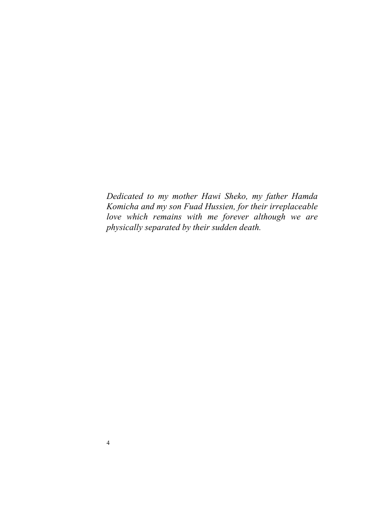*Dedicated to my mother Hawi Sheko, my father Hamda Komicha and my son Fuad Hussien, for their irreplaceable love which remains with me forever although we are physically separated by their sudden death.*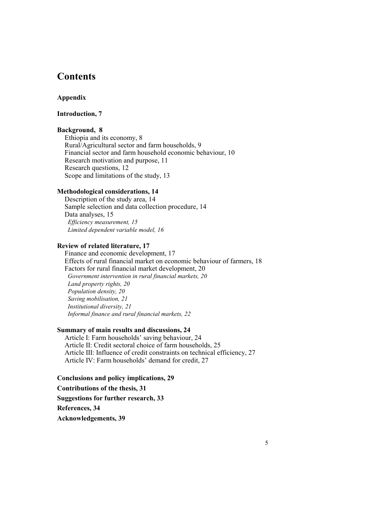## **Contents**

### **Appendix**

## **Introduction, 7**

### **Background, 8**

Ethiopia and its economy, 8 Rural/Agricultural sector and farm households, 9 Financial sector and farm household economic behaviour, 10 Research motivation and purpose, 11 Research questions, 12 Scope and limitations of the study, 13

### **Methodological considerations, 14**

Description of the study area, 14 Sample selection and data collection procedure, 14 Data analyses, 15  *Efficiency measurement, 15 Limited dependent variable model, 16* 

### **Review of related literature, 17**

Finance and economic development, 17 Effects of rural financial market on economic behaviour of farmers, 18 Factors for rural financial market development, 20  *Government intervention in rural financial markets, 20 Land property rights, 20 Population density, 20 Saving mobilisation, 21 Institutional diversity, 21 Informal finance and rural financial markets, 22* 

### **Summary of main results and discussions, 24**

Article I: Farm households' saving behaviour, 24 Article II: Credit sectoral choice of farm households, 25 Article III: Influence of credit constraints on technical efficiency, 27 Article IV: Farm households' demand for credit, 27

#### **Conclusions and policy implications, 29**

#### **Contributions of the thesis, 31**

**Suggestions for further research, 33** 

**References, 34** 

**Acknowledgements, 39**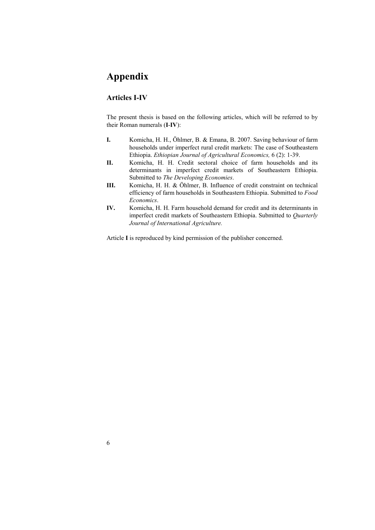## **Appendix**

### **Articles I-IV**

The present thesis is based on the following articles, which will be referred to by their Roman numerals (**I**-**IV**):

- **I.** Komicha, H. H., Öhlmer, B. & Emana, B. 2007. Saving behaviour of farm households under imperfect rural credit markets: The case of Southeastern Ethiopia. *Ethiopian Journal of Agricultural Economics,* 6 (2): 1-39.
- **II.** Komicha, H. H. Credit sectoral choice of farm households and its determinants in imperfect credit markets of Southeastern Ethiopia. Submitted to *The Developing Economies*.
- **III.** Komicha, H. H. & Öhlmer, B. Influence of credit constraint on technical efficiency of farm households in Southeastern Ethiopia. Submitted to *Food Economics*.
- **IV.** Komicha, H. H. Farm household demand for credit and its determinants in imperfect credit markets of Southeastern Ethiopia. Submitted to *Quarterly Journal of International Agriculture.*

Article **I** is reproduced by kind permission of the publisher concerned.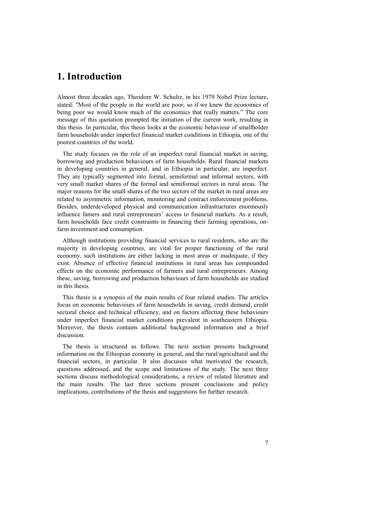## **1. Introduction**

Almost three decades ago, Theodore W. Schultz, in his 1979 Nobel Prize lecture, stated: "Most of the people in the world are poor, so if we knew the economics of being poor we would know much of the economics that really matters." The core message of this quotation prompted the initiation of the current work, resulting in this thesis. In particular, this thesis looks at the economic behaviour of smallholder farm households under imperfect financial market conditions in Ethiopia, one of the poorest countries of the world.

The study focuses on the role of an imperfect rural financial market in saving, borrowing and production behaviours of farm households. Rural financial markets in developing countries in general, and in Ethiopia in particular, are imperfect. They are typically segmented into formal, semiformal and informal sectors, with very small market shares of the formal and semiformal sectors in rural areas. The major reasons for the small shares of the two sectors of the market in rural areas are related to asymmetric information, monitoring and contract enforcement problems. Besides, underdeveloped physical and communication infrastructures enormously influence famers and rural entrepreneurs' access to financial markets. As a result, farm households face credit constraints in financing their farming operations, onfarm investment and consumption.

Although institutions providing financial services to rural residents, who are the majority in developing countries, are vital for proper functioning of the rural economy, such institutions are either lacking in most areas or inadequate, if they exist. Absence of effective financial institutions in rural areas has compounded effects on the economic performance of farmers and rural entrepreneurs. Among these, saving, borrowing and production behaviours of farm households are studied in this thesis.

This thesis is a synopsis of the main results of four related studies. The articles focus on economic behaviours of farm households in saving, credit demand, credit sectoral choice and technical efficiency, and on factors affecting these behaviours under imperfect financial market conditions prevalent in southeastern Ethiopia. Moreover, the thesis contains additional background information and a brief discussion.

The thesis is structured as follows. The next section presents background information on the Ethiopian economy in general, and the rural/agricultural and the financial sectors, in particular. It also discusses what motivated the research, questions addressed, and the scope and limitations of the study. The next three sections discuss methodological considerations, a review of related literature and the main results. The last three sections present conclusions and policy implications, contributions of the thesis and suggestions for further research.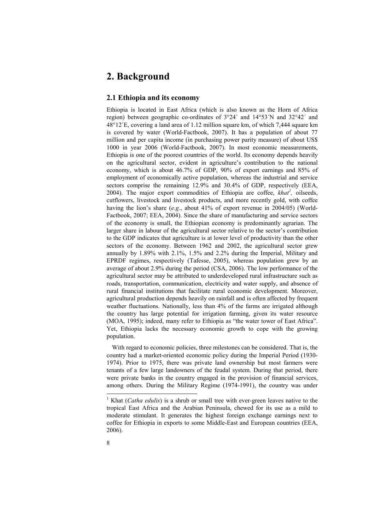## **2. Background**

#### **2.1 Ethiopia and its economy**

Ethiopia is located in East Africa (which is also known as the Horn of Africa region) between geographic co-ordinates of 3°24´ and 14°53´N and 32°42´ and 48°12´E, covering a land area of 1.12 million square km, of which 7,444 square km is covered by water (World-Factbook, 2007). It has a population of about 77 million and per capita income (in purchasing power parity measure) of about US\$ 1000 in year 2006 (World-Factbook, 2007). In most economic measurements, Ethiopia is one of the poorest countries of the world. Its economy depends heavily on the agricultural sector, evident in agriculture's contribution to the national economy, which is about 46.7% of GDP, 90% of export earnings and 85% of employment of economically active population, whereas the industrial and service sectors comprise the remaining 12.9% and 30.4% of GDP, respectively (EEA, 2004). The major export commodities of Ethiopia are coffee, *khat<sup>1</sup>*, oilseeds, cutflowers, livestock and livestock products, and more recently gold, with coffee having the lion's share (*e.g.*, about 41% of export revenue in 2004/05) (World-Factbook, 2007; EEA, 2004). Since the share of manufacturing and service sectors of the economy is small, the Ethiopian economy is predominantly agrarian. The larger share in labour of the agricultural sector relative to the sector's contribution to the GDP indicates that agriculture is at lower level of productivity than the other sectors of the economy. Between 1962 and 2002, the agricultural sector grew annually by 1.89% with 2.1%, 1.5% and 2.2% during the Imperial, Military and EPRDF regimes, respectively (Tafesse, 2005), whereas population grew by an average of about 2.9% during the period (CSA, 2006). The low performance of the agricultural sector may be attributed to underdeveloped rural infrastructure such as roads, transportation, communication, electricity and water supply, and absence of rural financial institutions that facilitate rural economic development. Moreover, agricultural production depends heavily on rainfall and is often affected by frequent weather fluctuations. Nationally, less than 4% of the farms are irrigated although the country has large potential for irrigation farming, given its water resource (MOA, 1995); indeed, many refer to Ethiopia as "the water tower of East Africa". Yet, Ethiopia lacks the necessary economic growth to cope with the growing population.

With regard to economic policies, three milestones can be considered. That is, the country had a market-oriented economic policy during the Imperial Period (1930- 1974). Prior to 1975, there was private land ownership but most farmers were tenants of a few large landowners of the feudal system. During that period, there were private banks in the country engaged in the provision of financial services, among others. During the Military Regime (1974-1991), the country was under

 $\overline{a}$ 

<sup>&</sup>lt;sup>1</sup> Khat (*Catha edulis*) is a shrub or small tree with ever-green leaves native to the tropical East Africa and the Arabian Peninsula, chewed for its use as a mild to moderate stimulant. It generates the highest foreign exchange earnings next to coffee for Ethiopia in exports to some Middle-East and European countries (EEA, 2006).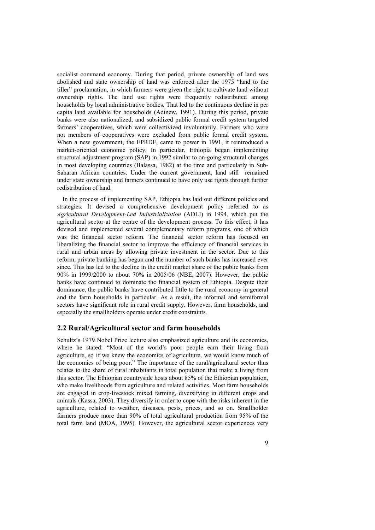socialist command economy. During that period, private ownership of land was abolished and state ownership of land was enforced after the 1975 "land to the tiller" proclamation, in which farmers were given the right to cultivate land without ownership rights. The land use rights were frequently redistributed among households by local administrative bodies. That led to the continuous decline in per capita land available for households (Adinew, 1991). During this period, private banks were also nationalized, and subsidized public formal credit system targeted farmers' cooperatives, which were collectivized involuntarily. Farmers who were not members of cooperatives were excluded from public formal credit system. When a new government, the EPRDF, came to power in 1991, it reintroduced a market-oriented economic policy. In particular, Ethiopia began implementing structural adjustment program (SAP) in 1992 similar to on-going structural changes in most developing countries (Balassa, 1982) at the time and particularly in Sub-Saharan African countries. Under the current government, land still remained under state ownership and farmers continued to have only use rights through further redistribution of land.

In the process of implementing SAP, Ethiopia has laid out different policies and strategies. It devised a comprehensive development policy referred to as *Agricultural Development-Led Industrialization* (ADLI) in 1994, which put the agricultural sector at the centre of the development process. To this effect, it has devised and implemented several complementary reform programs, one of which was the financial sector reform. The financial sector reform has focused on liberalizing the financial sector to improve the efficiency of financial services in rural and urban areas by allowing private investment in the sector. Due to this reform, private banking has begun and the number of such banks has increased ever since. This has led to the decline in the credit market share of the public banks from 90% in 1999/2000 to about 70% in 2005/06 (NBE, 2007). However, the public banks have continued to dominate the financial system of Ethiopia. Despite their dominance, the public banks have contributed little to the rural economy in general and the farm households in particular. As a result, the informal and semiformal sectors have significant role in rural credit supply. However, farm households, and especially the smallholders operate under credit constraints.

#### **2.2 Rural/Agricultural sector and farm households**

Schultz's 1979 Nobel Prize lecture also emphasized agriculture and its economics, where he stated: "Most of the world's poor people earn their living from agriculture, so if we knew the economics of agriculture, we would know much of the economics of being poor." The importance of the rural/agricultural sector thus relates to the share of rural inhabitants in total population that make a living from this sector. The Ethiopian countryside hosts about 85% of the Ethiopian population, who make livelihoods from agriculture and related activities. Most farm households are engaged in crop-livestock mixed farming, diversifying in different crops and animals (Kassa, 2003). They diversify in order to cope with the risks inherent in the agriculture, related to weather, diseases, pests, prices, and so on. Smallholder farmers produce more than 90% of total agricultural production from 95% of the total farm land (MOA, 1995). However, the agricultural sector experiences very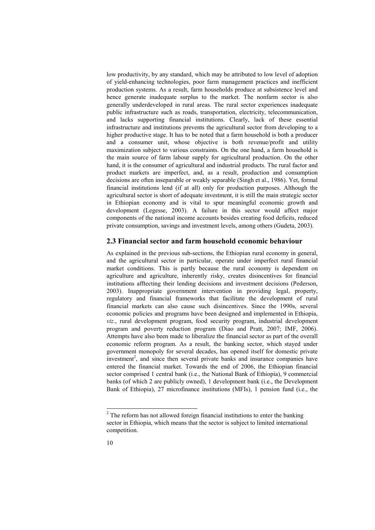low productivity, by any standard, which may be attributed to low level of adoption of yield-enhancing technologies, poor farm management practices and inefficient production systems. As a result, farm households produce at subsistence level and hence generate inadequate surplus to the market. The nonfarm sector is also generally underdeveloped in rural areas. The rural sector experiences inadequate public infrastructure such as roads, transportation, electricity, telecommunication, and lacks supporting financial institutions. Clearly, lack of these essential infrastructure and institutions prevents the agricultural sector from developing to a higher productive stage. It has to be noted that a farm household is both a producer and a consumer unit, whose objective is both revenue/profit and utility maximization subject to various constraints. On the one hand, a farm household is the main source of farm labour supply for agricultural production. On the other hand, it is the consumer of agricultural and industrial products. The rural factor and product markets are imperfect, and, as a result, production and consumption decisions are often inseparable or weakly separable (Singh et al., 1986). Yet, formal financial institutions lend (if at all) only for production purposes. Although the agricultural sector is short of adequate investment, it is still the main strategic sector in Ethiopian economy and is vital to spur meaningful economic growth and development (Legesse, 2003). A failure in this sector would affect major components of the national income accounts besides creating food deficits, reduced private consumption, savings and investment levels, among others (Gudeta, 2003).

#### **2.3 Financial sector and farm household economic behaviour**

As explained in the previous sub-sections, the Ethiopian rural economy in general, and the agricultural sector in particular, operate under imperfect rural financial market conditions. This is partly because the rural economy is dependent on agriculture and agriculture, inherently risky, creates disincentives for financial institutions afftecting their lending decisions and investment decisions (Pederson, 2003). Inappropriate government intervention in providing legal, property, regulatory and financial frameworks that facilitate the development of rural financial markets can also cause such disincentives. Since the 1990s, several economic policies and programs have been designed and implemented in Ethiopia, *viz*., rural development program, food security program, industrial development program and poverty reduction program (Diao and Pratt, 2007; IMF, 2006). Attempts have also been made to liberalize the financial sector as part of the overall economic reform program. As a result, the banking sector, which stayed under government monopoly for several decades, has opened itself for domestic private investment<sup>2</sup>, and since then several private banks and insurance companies have entered the financial market. Towards the end of 2006, the Ethiopian financial sector comprised 1 central bank (i.e., the National Bank of Ethiopia), 9 commercial banks (of which 2 are publicly owned), 1 development bank (i.e., the Development Bank of Ethiopia), 27 microfinance institutions (MFIs), 1 pension fund (i.e., the

 $\overline{\phantom{a}}$ 

 $2<sup>2</sup>$  The reform has not allowed foreign financial institutions to enter the banking sector in Ethiopia, which means that the sector is subject to limited international competition.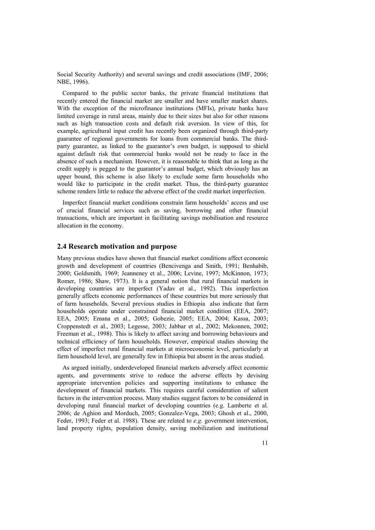Social Security Authority) and several savings and credit associations (IMF, 2006; NBE, 1996).

Compared to the public sector banks, the private financial institutions that recently entered the financial market are smaller and have smaller market shares. With the exception of the microfinance institutions (MFIs), private banks have limited coverage in rural areas, mainly due to their sizes but also for other reasons such as high transaction costs and default risk aversion. In view of this, for example, agricultural input credit has recently been organized through third-party guarantee of regional governments for loans from commercial banks. The thirdparty guarantee, as linked to the guarantor's own budget, is supposed to shield against default risk that commercial banks would not be ready to face in the absence of such a mechanism. However, it is reasonable to think that as long as the credit supply is pegged to the guarantor's annual budget, which obviously has an upper bound, this scheme is also likely to exclude some farm households who would like to participate in the credit market. Thus, the third-party guarantee scheme renders little to reduce the adverse effect of the credit market imperfection.

Imperfect financial market conditions constrain farm households' access and use of crucial financial services such as saving, borrowing and other financial transactions, which are important in facilitating savings mobilisation and resource allocation in the economy.

### **2.4 Research motivation and purpose**

Many previous studies have shown that financial market conditions affect economic growth and development of countries (Bencivenga and Smith, 1991; Benhabib, 2000; Goldsmith, 1969; Jeanneney et al., 2006; Levine, 1997; McKinnon, 1973; Romer, 1986; Shaw, 1973). It is a general notion that rural financial markets in developing countries are imperfect (Yadav et al., 1992). This imperfection generally affects economic performances of these countries but more seriously that of farm households. Several previous studies in Ethiopia also indicate that farm households operate under constrained financial market condition (EEA, 2007; EEA, 2005; Emana et al., 2005; Gobezie, 2005; EEA, 2004; Kassa, 2003; Croppenstedt et al., 2003; Legesse, 2003; Jabbar et al., 2002; Mekonnen, 2002; Freeman et al., 1998). This is likely to affect saving and borrowing behaviours and technical efficiency of farm households. However, empirical studies showing the effect of imperfect rural financial markets at microeconomic level, particularly at farm household level, are generally few in Ethiopia but absent in the areas studied.

As argued initially, underdeveloped financial markets adversely affect economic agents, and governments strive to reduce the adverse effects by devising appropriate intervention policies and supporting institutions to enhance the development of financial markets. This requires careful consideration of salient factors in the intervention process. Many studies suggest factors to be considered in developing rural financial market of developing countries (e.g. Lamberte et al. 2006; de Aghion and Morduch, 2005; Gonzalez-Vega, 2003; Ghosh et al., 2000, Feder, 1993; Feder et al. 1988). These are related to *e.g.* government intervention, land property rights, population density, saving mobilization and institutional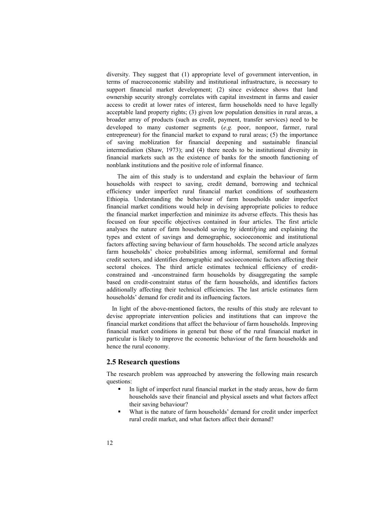diversity. They suggest that (1) appropriate level of government intervention, in terms of macroeconomic stability and institutional infrastructure, is necessary to support financial market development; (2) since evidence shows that land ownership security strongly correlates with capital investment in farms and easier access to credit at lower rates of interest, farm households need to have legally acceptable land property rights; (3) given low population densities in rural areas, a broader array of products (such as credit, payment, transfer services) need to be developed to many customer segments (*e.g.* poor, nonpoor, farmer, rural entrepreneur) for the financial market to expand to rural areas; (5) the importance of saving moblization for financial deepening and sustainable financial intermediation (Shaw, 1973); and (4) there needs to be institutional diversity in financial markets such as the existence of banks for the smooth functioning of nonblank institutions and the positive role of informal finance.

 The aim of this study is to understand and explain the behaviour of farm households with respect to saving, credit demand, borrowing and technical efficiency under imperfect rural financial market conditions of southeastern Ethiopia. Understanding the behaviour of farm households under imperfect financial market conditions would help in devising appropriate policies to reduce the financial market imperfection and minimize its adverse effects. This thesis has focused on four specific objectives contained in four articles. The first article analyses the nature of farm household saving by identifying and explaining the types and extent of savings and demographic, socioeconomic and institutional factors affecting saving behaviour of farm households. The second article analyzes farm households' choice probabilities among informal, semiformal and formal credit sectors, and identifies demographic and socioeconomic factors affecting their sectoral choices. The third article estimates technical efficiency of creditconstrained and -unconstrained farm households by disaggregating the sample based on credit-constraint status of the farm households, and identifies factors additionally affecting their technical efficiencies. The last article estimates farm households' demand for credit and its influencing factors.

In light of the above-mentioned factors, the results of this study are relevant to devise appropriate intervention policies and institutions that can improve the financial market conditions that affect the behaviour of farm households. Improving financial market conditions in general but those of the rural financial market in particular is likely to improve the economic behaviour of the farm households and hence the rural economy.

### **2.5 Research questions**

The research problem was approached by answering the following main research questions:

- In light of imperfect rural financial market in the study areas, how do farm households save their financial and physical assets and what factors affect their saving behaviour?
- What is the nature of farm households' demand for credit under imperfect rural credit market, and what factors affect their demand?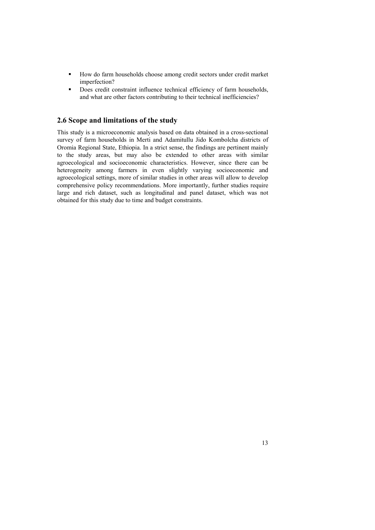- How do farm households choose among credit sectors under credit market imperfection?
- Does credit constraint influence technical efficiency of farm households, and what are other factors contributing to their technical inefficiencies?

### **2.6 Scope and limitations of the study**

This study is a microeconomic analysis based on data obtained in a cross-sectional survey of farm households in Merti and Adamitullu Jido Kombolcha districts of Oromia Regional State, Ethiopia. In a strict sense, the findings are pertinent mainly to the study areas, but may also be extended to other areas with similar agroecological and socioeconomic characteristics. However, since there can be heterogeneity among farmers in even slightly varying socioeconomic and agroecological settings, more of similar studies in other areas will allow to develop comprehensive policy recommendations. More importantly, further studies require large and rich dataset, such as longitudinal and panel dataset, which was not obtained for this study due to time and budget constraints.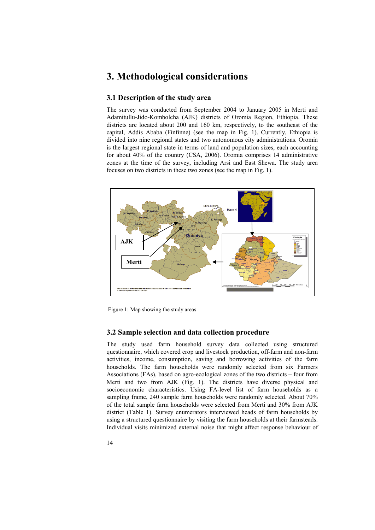## **3. Methodological considerations**

### **3.1 Description of the study area**

The survey was conducted from September 2004 to January 2005 in Merti and Adamitullu-Jido-Kombolcha (AJK) districts of Oromia Region, Ethiopia. These districts are located about 200 and 160 km, respectively, to the southeast of the capital, Addis Ababa (Finfinne) (see the map in Fig. 1). Currently, Ethiopia is divided into nine regional states and two autonomous city administrations. Oromia is the largest regional state in terms of land and population sizes, each accounting for about 40% of the country (CSA, 2006). Oromia comprises 14 administrative zones at the time of the survey, including Arsi and East Shewa. The study area focuses on two districts in these two zones (see the map in Fig. 1).



Figure 1: Map showing the study areas

#### **3.2 Sample selection and data collection procedure**

The study used farm household survey data collected using structured questionnaire, which covered crop and livestock production, off-farm and non-farm activities, income, consumption, saving and borrowing activities of the farm households. The farm households were randomly selected from six Farmers Associations (FAs), based on agro-ecological zones of the two districts – four from Merti and two from AJK (Fig. 1). The districts have diverse physical and socioeconomic characteristics. Using FA-level list of farm households as a sampling frame, 240 sample farm households were randomly selected. About 70% of the total sample farm households were selected from Merti and 30% from AJK district (Table 1). Survey enumerators interviewed heads of farm households by using a structured questionnaire by visiting the farm households at their farmsteads. Individual visits minimized external noise that might affect response behaviour of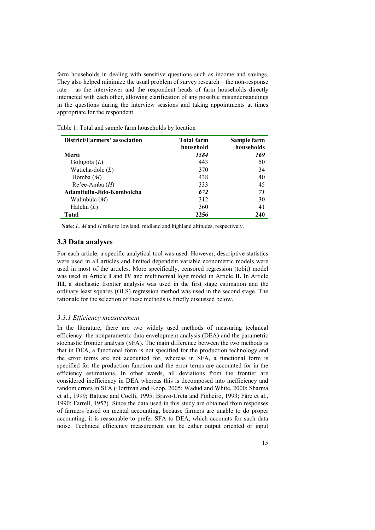farm households in dealing with sensitive questions such as income and savings. They also helped minimize the usual problem of survey research – the non-response rate – as the interviewer and the respondent heads of farm households directly interacted with each other, allowing clarification of any possible misunderstandings in the questions during the interview sessions and taking appointments at times appropriate for the respondent.

| District/Farmers' association | <b>Total farm</b> | Sample farm |
|-------------------------------|-------------------|-------------|
|                               | household         | households  |
| Merti                         | 1584              | 169         |
| Golugota $(L)$                | 443               | 50          |
| Waticha-dole $(L)$            | 370               | 34          |
| Homba $(M)$                   | 438               | 40          |
| $Re'ee-Amba$ ( <i>H</i> )     | 333               | 45          |
| Adamitullu-Jido-Kombolcha     | 672               | 71          |
| Walinbula (M)                 | 312               | 30          |
| Haleku $(L)$                  | 360               | 41          |
| Total                         | 2256              | 240         |

Table 1: Total and sample farm households by location

 **Note**: *L, M* and *H* refer to lowland, midland and highland altitudes, respectively.

#### **3.3 Data analyses**

For each article, a specific analytical tool was used. However, descriptive statistics were used in all articles and limited dependent variable econometric models were used in most of the articles. More specifically, censored regression (tobit) model was used in Article **I** and **IV** and multinomial logit model in Article **II.** In Article **III,** a stochastic frontier analysis was used in the first stage estimation and the ordinary least squares (OLS) regression method was used in the second stage. The rationale for the selection of these methods is briefly discussed below.

#### *3.3.1 Efficiency measurement*

In the literature, there are two widely used methods of measuring technical efficiency: the nonparametric data envelopment analysis (DEA) and the parametric stochastic frontier analysis (SFA). The main difference between the two methods is that in DEA, a functional form is not specified for the production technology and the error terms are not accounted for, whereas in SFA, a functional form is specified for the production function and the error terms are accounted for in the efficiency estimations. In other words, all deviations from the frontier are considered inefficiency in DEA whereas this is decomposed into inefficiency and random errors in SFA (Dorfman and Koop, 2005; Wadud and White, 2000; Sharma et al., 1999; Battese and Coelli, 1995; Bravo-Ureta and Pinheiro, 1993; Färe et al., 1990; Farrell, 1957). Since the data used in this study are obtained from responses of farmers based on mental accounting, because farmers are unable to do proper accounting, it is reasonable to prefer SFA to DEA, which accounts for such data noise. Technical efficiency measurement can be either output oriented or input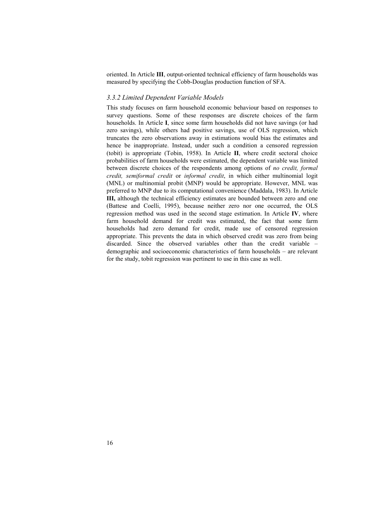oriented. In Article **III**, output-oriented technical efficiency of farm households was measured by specifying the Cobb-Douglas production function of SFA.

#### *3.3.2 Limited Dependent Variable Models*

This study focuses on farm household economic behaviour based on responses to survey questions. Some of these responses are discrete choices of the farm households. In Article **I**, since some farm households did not have savings (or had zero savings), while others had positive savings, use of OLS regression, which truncates the zero observations away in estimations would bias the estimates and hence be inappropriate. Instead, under such a condition a censored regression (tobit) is appropriate (Tobin, 1958). In Article **II**, where credit sectoral choice probabilities of farm households were estimated, the dependent variable was limited between discrete choices of the respondents among options of *no credit, formal credit, semiformal credit* or *informal credit*, in which either multinomial logit (MNL) or multinomial probit (MNP) would be appropriate. However, MNL was preferred to MNP due to its computational convenience (Maddala, 1983). In Article **III,** although the technical efficiency estimates are bounded between zero and one (Battese and Coelli, 1995), because neither zero nor one occurred, the OLS regression method was used in the second stage estimation. In Article **IV**, where farm household demand for credit was estimated, the fact that some farm households had zero demand for credit, made use of censored regression appropriate. This prevents the data in which observed credit was zero from being discarded. Since the observed variables other than the credit variable – demographic and socioeconomic characteristics of farm households – are relevant for the study, tobit regression was pertinent to use in this case as well.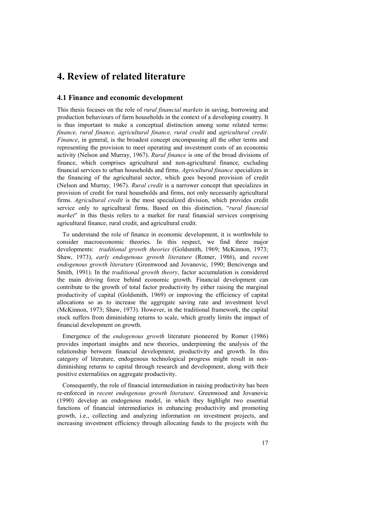## **4. Review of related literature**

### **4.1 Finance and economic development**

This thesis focuses on the role of *rural financial markets* in saving, borrowing and production behaviours of farm households in the context of a developing country. It is thus important to make a conceptual distinction among some related terms: *finance, rural finance, agricultural finance, rural credit* and *agricultural credit*. *Finance*, in general, is the broadest concept encompassing all the other terms and representing the provision to meet operating and investment costs of an economic activity (Nelson and Murray, 1967). *Rural finance* is one of the broad divisions of finance, which comprises agricultural and non-agricultural finance, excluding financial services to urban households and firms. *Agricultural finance* specializes in the financing of the agricultural sector, which goes beyond provision of credit (Nelson and Murray, 1967). *Rural credit* is a narrower concept that specializes in provision of credit for rural households and firms, not only necessarily agricultural firms. *Agricultural credit* is the most specialized division, which provides credit service only to agricultural firms. Based on this distinction, "*rural financial market*" in this thesis refers to a market for rural financial services comprising agricultural finance, rural credit, and agricultural credit.

To understand the role of finance in economic development, it is worthwhile to consider macroeconomic theories. In this respect, we find three major developments: *traditional growth theories* (Goldsmith, 1969; McKinnon, 1973; Shaw, 1973), *early endogenous growth literature* (Romer, 1986), and *recent endogenous growth literature* (Greenwood and Jovanovic, 1990; Bencivenga and Smith, 1991). In the *traditional growth theory*, factor accumulation is considered the main driving force behind economic growth. Financial development can contribute to the growth of total factor productivity by either raising the marginal productivity of capital (Goldsmith, 1969) or improving the efficiency of capital allocations so as to increase the aggregate saving rate and investment level (McKinnon, 1973; Shaw, 1973). However, in the traditional framework, the capital stock suffers from diminishing returns to scale, which greatly limits the impact of financial development on growth.

Emergence of the *endogenous growth* literature pioneered by Romer (1986) provides important insights and new theories, underpinning the analysis of the relationship between financial development, productivity and growth. In this category of literature, endogenous technological progress might result in nondiminishing returns to capital through research and development, along with their positive externalities on aggregate productivity.

Consequently, the role of financial intermediation in raising productivity has been re-enforced in *recent endogenous growth literature*. Greenwood and Jovanovic (1990) develop an endogenous model, in which they highlight two essential functions of financial intermediaries in enhancing productivity and promoting growth, i.e., collecting and analyzing information on investment projects, and increasing investment efficiency through allocating funds to the projects with the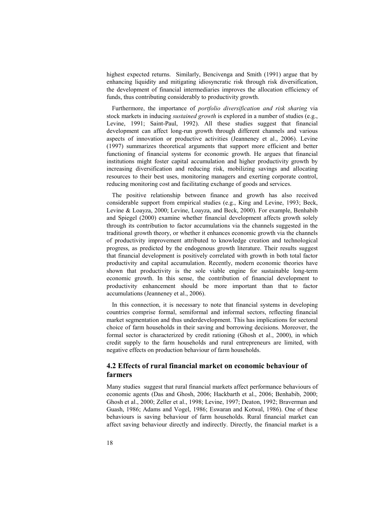highest expected returns. Similarly, Bencivenga and Smith (1991) argue that by enhancing liquidity and mitigating idiosyncratic risk through risk diversification, the development of financial intermediaries improves the allocation efficiency of funds, thus contributing considerably to productivity growth.

Furthermore, the importance of *portfolio diversification and risk sharing* via stock markets in inducing *sustained growth* is explored in a number of studies (e.g., Levine, 1991; Saint-Paul, 1992). All these studies suggest that financial development can affect long-run growth through different channels and various aspects of innovation or productive activities (Jeanneney et al., 2006). Levine (1997) summarizes theoretical arguments that support more efficient and better functioning of financial systems for economic growth. He argues that financial institutions might foster capital accumulation and higher productivity growth by increasing diversification and reducing risk, mobilizing savings and allocating resources to their best uses, monitoring managers and exerting corporate control, reducing monitoring cost and facilitating exchange of goods and services.

The positive relationship between finance and growth has also received considerable support from empirical studies (e.g., King and Levine, 1993; Beck, Levine & Loayza, 2000; Levine, Loayza, and Beck, 2000). For example, Benhabib and Spiegel (2000) examine whether financial development affects growth solely through its contribution to factor accumulations via the channels suggested in the traditional growth theory, or whether it enhances economic growth via the channels of productivity improvement attributed to knowledge creation and technological progress, as predicted by the endogenous growth literature. Their results suggest that financial development is positively correlated with growth in both total factor productivity and capital accumulation. Recently, modern economic theories have shown that productivity is the sole viable engine for sustainable long-term economic growth. In this sense, the contribution of financial development to productivity enhancement should be more important than that to factor accumulations (Jeanneney et al., 2006).

 In this connection, it is necessary to note that financial systems in developing countries comprise formal, semiformal and informal sectors, reflecting financial market segmentation and thus underdevelopment. This has implications for sectoral choice of farm households in their saving and borrowing decisions. Moreover, the formal sector is characterized by credit rationing (Ghosh et al., 2000), in which credit supply to the farm households and rural entrepreneurs are limited, with negative effects on production behaviour of farm households.

### **4.2 Effects of rural financial market on economic behaviour of farmers**

Many studies suggest that rural financial markets affect performance behaviours of economic agents (Das and Ghosh, 2006; Hackbarth et al., 2006; Benhabib, 2000; Ghosh et al., 2000; Zeller et al., 1998; Levine, 1997; Deaton, 1992; Braverman and Guash, 1986; Adams and Vogel, 1986; Eswaran and Kotwal, 1986). One of these behaviours is saving behaviour of farm households. Rural financial market can affect saving behaviour directly and indirectly. Directly, the financial market is a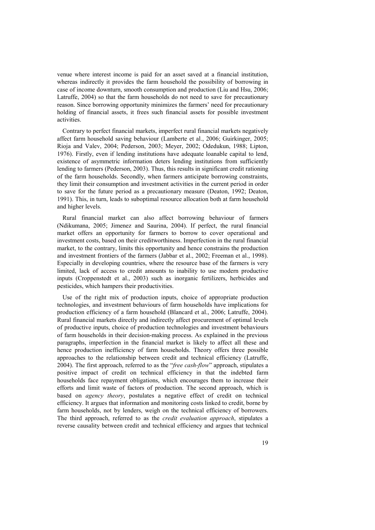venue where interest income is paid for an asset saved at a financial institution, whereas indirectly it provides the farm household the possibility of borrowing in case of income downturn, smooth consumption and production (Liu and Hsu, 2006; Latruffe, 2004) so that the farm households do not need to save for precautionary reason. Since borrowing opportunity minimizes the farmers' need for precautionary holding of financial assets, it frees such financial assets for possible investment activities.

Contrary to perfect financial markets, imperfect rural financial markets negatively affect farm household saving behaviour (Lamberte et al., 2006; Guirkinger, 2005; Rioja and Valev, 2004; Pederson, 2003; Meyer, 2002; Odedukun, 1988; Lipton, 1976). Firstly, even if lending institutions have adequate loanable capital to lend, existence of asymmetric information deters lending institutions from sufficiently lending to farmers (Pederson, 2003). Thus, this results in significant credit rationing of the farm households. Secondly, when farmers anticipate borrowing constraints, they limit their consumption and investment activities in the current period in order to save for the future period as a precautionary measure (Deaton, 1992; Deaton, 1991). This, in turn, leads to suboptimal resource allocation both at farm household and higher levels.

Rural financial market can also affect borrowing behaviour of farmers (Ndikumana, 2005; Jimenez and Saurina, 2004). If perfect, the rural financial market offers an opportunity for farmers to borrow to cover operational and investment costs, based on their creditworthiness. Imperfection in the rural financial market, to the contrary, limits this opportunity and hence constrains the production and investment frontiers of the farmers (Jabbar et al., 2002; Freeman et al., 1998). Especially in developing countries, where the resource base of the farmers is very limited, lack of access to credit amounts to inability to use modern productive inputs (Croppenstedt et al., 2003) such as inorganic fertilizers, herbicides and pesticides, which hampers their productivities.

Use of the right mix of production inputs, choice of appropriate production technologies, and investment behaviours of farm households have implications for production efficiency of a farm household (Blancard et al., 2006; Latruffe, 2004). Rural financial markets directly and indirectly affect procurement of optimal levels of productive inputs, choice of production technologies and investment behaviours of farm households in their decision-making process. As explained in the previous paragraphs, imperfection in the financial market is likely to affect all these and hence production inefficiency of farm households. Theory offers three possible approaches to the relationship between credit and technical efficiency (Latruffe, 2004). The first approach, referred to as the "*free cash-flow*" approach, stipulates a positive impact of credit on technical efficiency in that the indebted farm households face repayment obligations, which encourages them to increase their efforts and limit waste of factors of production. The second approach, which is based on *agency theory*, postulates a negative effect of credit on technical efficiency. It argues that information and monitoring costs linked to credit, borne by farm households, not by lenders, weigh on the technical efficiency of borrowers. The third approach, referred to as the *credit evaluation approach*, stipulates a reverse causality between credit and technical efficiency and argues that technical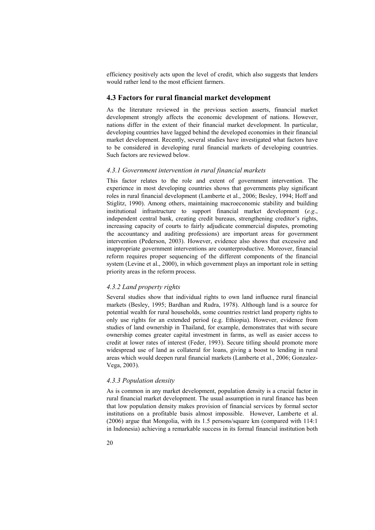efficiency positively acts upon the level of credit, which also suggests that lenders would rather lend to the most efficient farmers.

#### **4.3 Factors for rural financial market development**

As the literature reviewed in the previous section asserts, financial market development strongly affects the economic development of nations. However, nations differ in the extent of their financial market development. In particular, developing countries have lagged behind the developed economies in their financial market development. Recently, several studies have investigated what factors have to be considered in developing rural financial markets of developing countries. Such factors are reviewed below.

#### *4.3.1 Government intervention in rural financial markets*

This factor relates to the role and extent of government intervention. The experience in most developing countries shows that governments play significant roles in rural financial development (Lamberte et al., 2006; Besley, 1994; Hoff and Stiglitz, 1990). Among others, maintaining macroeconomic stability and building institutional infrastructure to support financial market development (*e.g*., independent central bank, creating credit bureaus, strengthening creditor's rights, increasing capacity of courts to fairly adjudicate commercial disputes, promoting the accountancy and auditing professions) are important areas for government intervention (Pederson, 2003). However, evidence also shows that excessive and inappropriate government interventions are counterproductive. Moreover, financial reform requires proper sequencing of the different components of the financial system (Levine et al., 2000), in which government plays an important role in setting priority areas in the reform process.

#### *4.3.2 Land property rights*

Several studies show that individual rights to own land influence rural financial markets (Besley, 1995; Bardhan and Rudra, 1978). Although land is a source for potential wealth for rural households, some countries restrict land property rights to only use rights for an extended period (e.g. Ethiopia). However, evidence from studies of land ownership in Thailand, for example, demonstrates that with secure ownership comes greater capital investment in farms, as well as easier access to credit at lower rates of interest (Feder, 1993). Secure titling should promote more widespread use of land as collateral for loans, giving a boost to lending in rural areas which would deepen rural financial markets (Lamberte et al., 2006; Gonzalez-Vega, 2003).

#### *4.3.3 Population density*

As is common in any market development, population density is a crucial factor in rural financial market development. The usual assumption in rural finance has been that low population density makes provision of financial services by formal sector institutions on a profitable basis almost impossible. However, Lamberte et al. (2006) argue that Mongolia, with its 1.5 persons/square km (compared with 114:1 in Indonesia) achieving a remarkable success in its formal financial institution both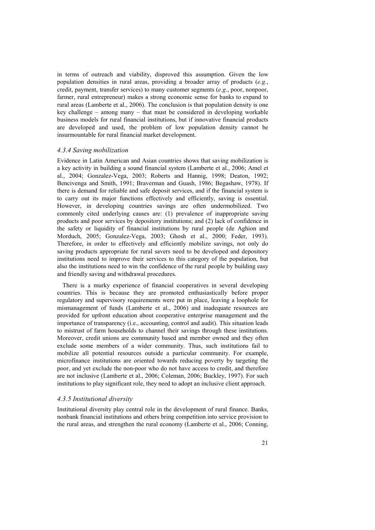in terms of outreach and viability, disproved this assumption. Given the low population densities in rural areas, providing a broader array of products (*e.g.*, credit, payment, transfer services) to many customer segments (*e.g*., poor, nonpoor, farmer, rural entrepreneur) makes a strong economic sense for banks to expand to rural areas (Lamberte et al., 2006). The conclusion is that population density is one key challenge – among many – that must be considered in developing workable business models for rural financial institutions, but if innovative financial products are developed and used, the problem of low population density cannot be insurmountable for rural financial market development.

#### *4.3.4 Saving mobilization*

Evidence in Latin American and Asian countries shows that saving mobilization is a key activity in building a sound financial system (Lamberte et al., 2006; Amel et al., 2004; Gonzalez-Vega, 2003; Roberts and Hannig, 1998; Deaton, 1992; Bencivenga and Smith, 1991; Braverman and Guash, 1986; Begashaw, 1978). If there is demand for reliable and safe deposit services, and if the financial system is to carry out its major functions effectively and efficiently, saving is essential. However, in developing countries savings are often undermobilized. Two commonly cited underlying causes are: (1) prevalence of inappropriate saving products and poor services by depository institutions; and (2) lack of confidence in the safety or liquidity of financial institutions by rural people (de Aghion and Morduch, 2005; Gonzalez-Vega, 2003; Ghosh et al., 2000; Feder, 1993). Therefore, in order to effectively and efficiently mobilize savings, not only do saving products appropriate for rural savers need to be developed and depository institutions need to improve their services to this category of the population, but also the institutions need to win the confidence of the rural people by building easy and friendly saving and withdrawal procedures.

There is a murky experience of financial cooperatives in several developing countries. This is because they are promoted enthusiastically before proper regulatory and supervisory requirements were put in place, leaving a loophole for mismanagement of funds (Lamberte et al., 2006) and inadequate resources are provided for upfront education about cooperative enterprise management and the importance of transparency (i.e., accounting, control and audit). This situation leads to mistrust of farm households to channel their savings through these institutions. Moreover, credit unions are community based and member owned and they often exclude some members of a wider community. Thus, such institutions fail to mobilize all potential resources outside a particular community. For example, microfinance institutions are oriented towards reducing poverty by targeting the poor, and yet exclude the non-poor who do not have access to credit, and therefore are not inclusive (Lamberte et al., 2006; Coleman, 2006; Buckley, 1997). For such institutions to play significant role, they need to adopt an inclusive client approach.

#### *4.3.5 Institutional diversity*

Institutional diversity play central role in the development of rural finance. Banks, nonbank financial institutions and others bring competition into service provision to the rural areas, and strengthen the rural economy (Lamberte et al., 2006; Conning,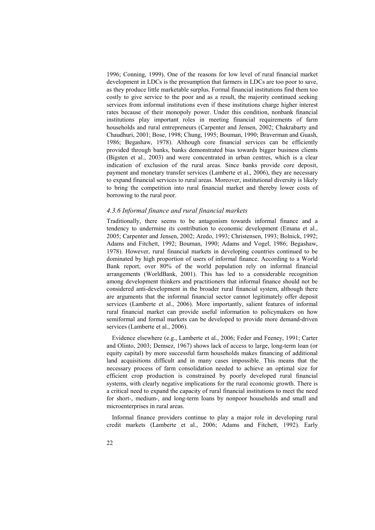1996; Conning, 1999). One of the reasons for low level of rural financial market development in LDCs is the presumption that farmers in LDCs are too poor to save, as they produce little marketable surplus. Formal financial institutions find them too costly to give service to the poor and as a result, the majority continued seeking services from informal institutions even if these institutions charge higher interest rates because of their monopoly power. Under this condition, nonbank financial institutions play important roles in meeting financial requirements of farm households and rural entrepreneurs (Carpenter and Jensen, 2002; Chakrabarty and Chaudhuri, 2001; Bose, 1998; Chung, 1995; Bouman, 1990; Braverman and Guash, 1986; Begashaw, 1978). Although core financial services can be efficiently provided through banks, banks demonstrated bias towards bigger business clients (Bigsten et al., 2003) and were concentrated in urban centres, which is a clear indication of exclusion of the rural areas. Since banks provide core deposit, payment and monetary transfer services (Lamberte et al., 2006), they are necessary to expand financial services to rural areas. Moreover, institutional diversity is likely to bring the competition into rural financial market and thereby lower costs of borrowing to the rural poor.

#### *4.3.6 Informal finance and rural financial markets*

Traditionally, there seems to be antagonism towards informal finance and a tendency to undermine its contribution to economic development (Emana et al., 2005; Carpenter and Jensen, 2002; Aredo, 1993; Christensen, 1993; Bolnick, 1992; Adams and Fitchett, 1992; Bouman, 1990; Adams and Vogel, 1986; Begashaw, 1978). However, rural financial markets in developing countries continued to be dominated by high proportion of users of informal finance. According to a World Bank report, over 80% of the world population rely on informal financial arrangements (WorldBank, 2001). This has led to a considerable recognition among development thinkers and practitioners that informal finance should not be considered anti-development in the broader rural financial system, although there are arguments that the informal financial sector cannot legitimately offer deposit services (Lamberte et al., 2006). More importantly, salient features of informal rural financial market can provide useful information to policymakers on how semiformal and formal markets can be developed to provide more demand-driven services (Lamberte et al., 2006).

Evidence elsewhere (e.g., Lamberte et al., 2006; Feder and Feeney, 1991; Carter and Olinto, 2003; Demsez, 1967) shows lack of access to large, long-term loan (or equity capital) by more successful farm households makes financing of additional land acquisitions difficult and in many cases impossible. This means that the necessary process of farm consolidation needed to achieve an optimal size for efficient crop production is constrained by poorly developed rural financial systems, with clearly negative implications for the rural economic growth. There is a critical need to expand the capacity of rural financial institutions to meet the need for short-, medium-, and long-term loans by nonpoor households and small and microenterprises in rural areas.

Informal finance providers continue to play a major role in developing rural credit markets (Lamberte et al., 2006; Adams and Fitchett, 1992). Early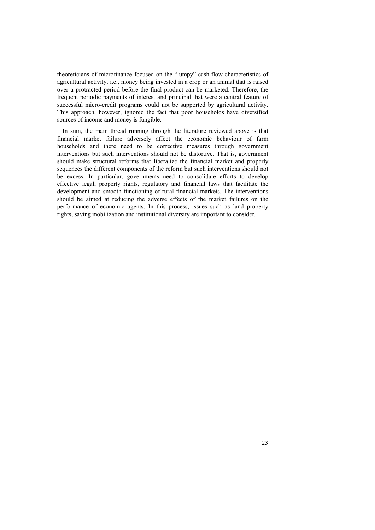theoreticians of microfinance focused on the "lumpy" cash-flow characteristics of agricultural activity, i.e., money being invested in a crop or an animal that is raised over a protracted period before the final product can be marketed. Therefore, the frequent periodic payments of interest and principal that were a central feature of successful micro-credit programs could not be supported by agricultural activity. This approach, however, ignored the fact that poor households have diversified sources of income and money is fungible.

 In sum, the main thread running through the literature reviewed above is that financial market failure adversely affect the economic behaviour of farm households and there need to be corrective measures through government interventions but such interventions should not be distortive. That is, government should make structural reforms that liberalize the financial market and properly sequences the different components of the reform but such interventions should not be excess. In particular, governments need to consolidate efforts to develop effective legal, property rights, regulatory and financial laws that facilitate the development and smooth functioning of rural financial markets. The interventions should be aimed at reducing the adverse effects of the market failures on the performance of economic agents. In this process, issues such as land property rights, saving mobilization and institutional diversity are important to consider.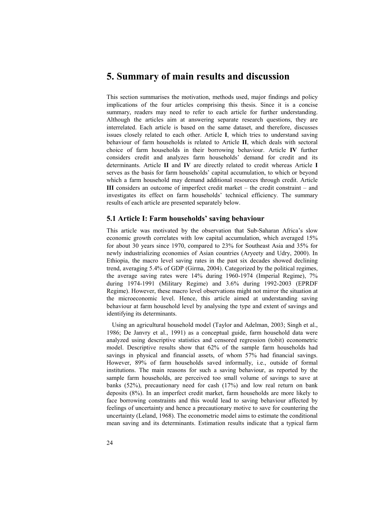## **5. Summary of main results and discussion**

This section summarises the motivation, methods used, major findings and policy implications of the four articles comprising this thesis. Since it is a concise summary, readers may need to refer to each article for further understanding. Although the articles aim at answering separate research questions, they are interrelated. Each article is based on the same dataset, and therefore, discusses issues closely related to each other. Article **I**, which tries to understand saving behaviour of farm households is related to Article **II**, which deals with sectoral choice of farm households in their borrowing behaviour. Article **IV** further considers credit and analyzes farm households' demand for credit and its determinants. Article **II** and **IV** are directly related to credit whereas Article **I** serves as the basis for farm households' capital accumulation, to which or beyond which a farm household may demand additional resources through credit. Article **III** considers an outcome of imperfect credit market – the credit constraint – and investigates its effect on farm households' technical efficiency. The summary results of each article are presented separately below.

#### **5.1 Article I: Farm households' saving behaviour**

This article was motivated by the observation that Sub-Saharan Africa's slow economic growth correlates with low capital accumulation, which averaged 15% for about 30 years since 1970, compared to 23% for Southeast Asia and 35% for newly industrializing economies of Asian countries (Aryeety and Udry, 2000). In Ethiopia, the macro level saving rates in the past six decades showed declining trend, averaging 5.4% of GDP (Girma, 2004). Categorized by the political regimes, the average saving rates were 14% during 1960-1974 (Imperial Regime), 7% during 1974-1991 (Military Regime) and 3.6% during 1992-2003 (EPRDF Regime). However, these macro level observations might not mirror the situation at the microeconomic level. Hence, this article aimed at understanding saving behaviour at farm household level by analysing the type and extent of savings and identifying its determinants.

Using an agricultural household model (Taylor and Adelman, 2003; Singh et al., 1986; De Janvry et al., 1991) as a conceptual guide, farm household data were analyzed using descriptive statistics and censored regression (tobit) econometric model. Descriptive results show that 62% of the sample farm households had savings in physical and financial assets, of whom 57% had financial savings. However, 89% of farm households saved informally, i.e., outside of formal institutions. The main reasons for such a saving behaviour, as reported by the sample farm households, are perceived too small volume of savings to save at banks (52%), precautionary need for cash (17%) and low real return on bank deposits (8%). In an imperfect credit market, farm households are more likely to face borrowing constraints and this would lead to saving behaviour affected by feelings of uncertainty and hence a precautionary motive to save for countering the uncertainty (Leland, 1968). The econometric model aims to estimate the conditional mean saving and its determinants. Estimation results indicate that a typical farm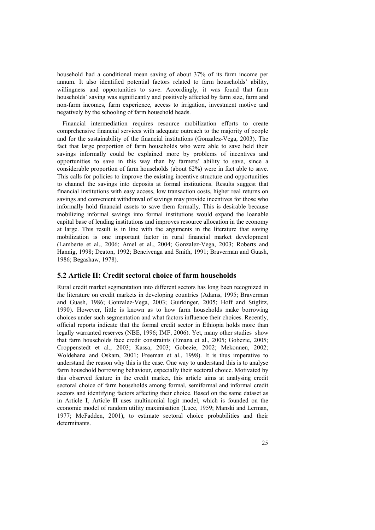household had a conditional mean saving of about 37% of its farm income per annum. It also identified potential factors related to farm households' ability, willingness and opportunities to save. Accordingly, it was found that farm households' saving was significantly and positively affected by farm size, farm and non-farm incomes, farm experience, access to irrigation, investment motive and negatively by the schooling of farm household heads.

Financial intermediation requires resource mobilization efforts to create comprehensive financial services with adequate outreach to the majority of people and for the sustainability of the financial institutions (Gonzalez-Vega, 2003). The fact that large proportion of farm households who were able to save held their savings informally could be explained more by problems of incentives and opportunities to save in this way than by farmers' ability to save, since a considerable proportion of farm households (about 62%) were in fact able to save. This calls for policies to improve the existing incentive structure and opportunities to channel the savings into deposits at formal institutions. Results suggest that financial institutions with easy access, low transaction costs, higher real returns on savings and convenient withdrawal of savings may provide incentives for those who informally hold financial assets to save them formally. This is desirable because mobilizing informal savings into formal institutions would expand the loanable capital base of lending institutions and improves resource allocation in the economy at large. This result is in line with the arguments in the literature that saving mobilization is one important factor in rural financial market development (Lamberte et al., 2006; Amel et al., 2004; Gonzalez-Vega, 2003; Roberts and Hannig, 1998; Deaton, 1992; Bencivenga and Smith, 1991; Braverman and Guash, 1986; Begashaw, 1978).

#### **5.2 Article II: Credit sectoral choice of farm households**

Rural credit market segmentation into different sectors has long been recognized in the literature on credit markets in developing countries (Adams, 1995; Braverman and Guash, 1986; Gonzalez-Vega, 2003; Guirkinger, 2005; Hoff and Stiglitz, 1990). However, little is known as to how farm households make borrowing choices under such segmentation and what factors influence their choices. Recently, official reports indicate that the formal credit sector in Ethiopia holds more than legally warranted reserves (NBE, 1996; IMF, 2006). Yet, many other studies show that farm households face credit constraints (Emana et al., 2005; Gobezie, 2005; Croppenstedt et al., 2003; Kassa, 2003; Gobezie, 2002; Mekonnen, 2002; Woldehana and Oskam, 2001; Freeman et al., 1998). It is thus imperative to understand the reason why this is the case. One way to understand this is to analyse farm household borrowing behaviour, especially their sectoral choice. Motivated by this observed feature in the credit market, this article aims at analysing credit sectoral choice of farm households among formal, semiformal and informal credit sectors and identifying factors affecting their choice. Based on the same dataset as in Article **I**, Article **II** uses multinomial logit model, which is founded on the economic model of random utility maximisation (Luce, 1959; Manski and Lerman, 1977; McFadden, 2001), to estimate sectoral choice probabilities and their determinants.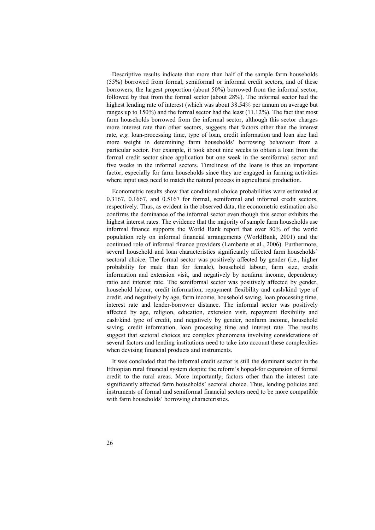Descriptive results indicate that more than half of the sample farm households (55%) borrowed from formal, semiformal or informal credit sectors, and of these borrowers, the largest proportion (about 50%) borrowed from the informal sector, followed by that from the formal sector (about 28%). The informal sector had the highest lending rate of interest (which was about 38.54% per annum on average but ranges up to 150%) and the formal sector had the least (11.12%). The fact that most farm households borrowed from the informal sector, although this sector charges more interest rate than other sectors, suggests that factors other than the interest rate, *e.g.* loan-processing time, type of loan, credit information and loan size had more weight in determining farm households' borrowing behaviour from a particular sector. For example, it took about nine weeks to obtain a loan from the formal credit sector since application but one week in the semiformal sector and five weeks in the informal sectors. Timeliness of the loans is thus an important factor, especially for farm households since they are engaged in farming activities where input uses need to match the natural process in agricultural production.

Econometric results show that conditional choice probabilities were estimated at 0.3167, 0.1667, and 0.5167 for formal, semiformal and informal credit sectors, respectively. Thus, as evident in the observed data, the econometric estimation also confirms the dominance of the informal sector even though this sector exhibits the highest interest rates. The evidence that the majority of sample farm households use informal finance supports the World Bank report that over 80% of the world population rely on informal financial arrangements (WorldBank, 2001) and the continued role of informal finance providers (Lamberte et al., 2006). Furthermore, several household and loan characteristics significantly affected farm households' sectoral choice. The formal sector was positively affected by gender (i.e., higher probability for male than for female), household labour, farm size, credit information and extension visit, and negatively by nonfarm income, dependency ratio and interest rate. The semiformal sector was positively affected by gender, household labour, credit information, repayment flexibility and cash/kind type of credit, and negatively by age, farm income, household saving, loan processing time, interest rate and lender-borrower distance. The informal sector was positively affected by age, religion, education, extension visit, repayment flexibility and cash/kind type of credit, and negatively by gender, nonfarm income, household saving, credit information, loan processing time and interest rate. The results suggest that sectoral choices are complex phenomena involving considerations of several factors and lending institutions need to take into account these complexities when devising financial products and instruments.

It was concluded that the informal credit sector is still the dominant sector in the Ethiopian rural financial system despite the reform's hoped-for expansion of formal credit to the rural areas. More importantly, factors other than the interest rate significantly affected farm households' sectoral choice. Thus, lending policies and instruments of formal and semiformal financial sectors need to be more compatible with farm households' borrowing characteristics.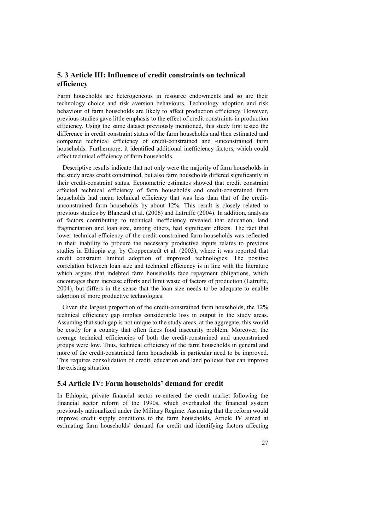## **5. 3 Article III: Influence of credit constraints on technical efficiency**

Farm households are heterogeneous in resource endowments and so are their technology choice and risk aversion behaviours. Technology adoption and risk behaviour of farm households are likely to affect production efficiency. However, previous studies gave little emphasis to the effect of credit constraints in production efficiency. Using the same dataset previously mentioned, this study first tested the difference in credit constraint status of the farm households and then estimated and compared technical efficiency of credit-constrained and -unconstrained farm households. Furthermore, it identified additional inefficiency factors, which could affect technical efficiency of farm households.

Descriptive results indicate that not only were the majority of farm households in the study areas credit constrained, but also farm households differed significantly in their credit-constraint status. Econometric estimates showed that credit constraint affected technical efficiency of farm households and credit-constrained farm households had mean technical efficiency that was less than that of the creditunconstrained farm households by about 12%. This result is closely related to previous studies by Blancard et al. (2006) and Latruffe (2004). In addition, analysis of factors contributing to technical inefficiency revealed that education, land fragmentation and loan size, among others, had significant effects. The fact that lower technical efficiency of the credit-constrained farm households was reflected in their inability to procure the necessary productive inputs relates to previous studies in Ethiopia *e.g.* by Croppenstedt et al. (2003), where it was reported that credit constraint limited adoption of improved technologies. The positive correlation between loan size and technical efficiency is in line with the literature which argues that indebted farm households face repayment obligations, which encourages them increase efforts and limit waste of factors of production (Latruffe, 2004), but differs in the sense that the loan size needs to be adequate to enable adoption of more productive technologies.

Given the largest proportion of the credit-constrained farm households, the 12% technical efficiency gap implies considerable loss in output in the study areas. Assuming that such gap is not unique to the study areas, at the aggregate, this would be costly for a country that often faces food insecurity problem. Moreover, the average technical efficiencies of both the credit-constrained and unconstrained groups were low. Thus, technical efficiency of the farm households in general and more of the credit-constrained farm households in particular need to be improved. This requires consolidation of credit, education and land policies that can improve the existing situation.

### **5.4 Article IV: Farm households' demand for credit**

In Ethiopia, private financial sector re-entered the credit market following the financial sector reform of the 1990s, which overhauled the financial system previously nationalized under the Military Regime. Assuming that the reform would improve credit supply conditions to the farm households, Article **IV** aimed at estimating farm households' demand for credit and identifying factors affecting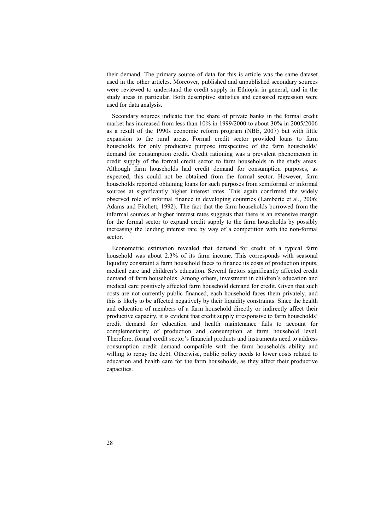their demand. The primary source of data for this is article was the same dataset used in the other articles. Moreover, published and unpublished secondary sources were reviewed to understand the credit supply in Ethiopia in general, and in the study areas in particular. Both descriptive statistics and censored regression were used for data analysis.

Secondary sources indicate that the share of private banks in the formal credit market has increased from less than 10% in 1999/2000 to about 30% in 2005/2006 as a result of the 1990s economic reform program (NBE, 2007) but with little expansion to the rural areas. Formal credit sector provided loans to farm households for only productive purpose irrespective of the farm households' demand for consumption credit. Credit rationing was a prevalent phenomenon in credit supply of the formal credit sector to farm households in the study areas. Although farm households had credit demand for consumption purposes, as expected, this could not be obtained from the formal sector. However, farm households reported obtaining loans for such purposes from semiformal or informal sources at significantly higher interest rates. This again confirmed the widely observed role of informal finance in developing countries (Lamberte et al., 2006; Adams and Fitchett, 1992). The fact that the farm households borrowed from the informal sources at higher interest rates suggests that there is an extensive margin for the formal sector to expand credit supply to the farm households by possibly increasing the lending interest rate by way of a competition with the non-formal sector.

Econometric estimation revealed that demand for credit of a typical farm household was about 2.3% of its farm income. This corresponds with seasonal liquidity constraint a farm household faces to finance its costs of production inputs, medical care and children's education. Several factors significantly affected credit demand of farm households. Among others, investment in children's education and medical care positively affected farm household demand for credit. Given that such costs are not currently public financed, each household faces them privately, and this is likely to be affected negatively by their liquidity constraints. Since the health and education of members of a farm household directly or indirectly affect their productive capacity, it is evident that credit supply irresponsive to farm households' credit demand for education and health maintenance fails to account for complementarity of production and consumption at farm household level. Therefore, formal credit sector's financial products and instruments need to address consumption credit demand compatible with the farm households ability and willing to repay the debt. Otherwise, public policy needs to lower costs related to education and health care for the farm households, as they affect their productive capacities.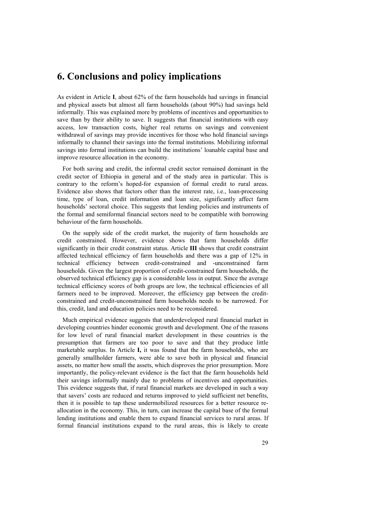## **6. Conclusions and policy implications**

As evident in Article **I**, about 62% of the farm households had savings in financial and physical assets but almost all farm households (about 90%) had savings held informally. This was explained more by problems of incentives and opportunities to save than by their ability to save. It suggests that financial institutions with easy access, low transaction costs, higher real returns on savings and convenient withdrawal of savings may provide incentives for those who hold financial savings informally to channel their savings into the formal institutions. Mobilizing informal savings into formal institutions can build the institutions' loanable capital base and improve resource allocation in the economy.

For both saving and credit, the informal credit sector remained dominant in the credit sector of Ethiopia in general and of the study area in particular. This is contrary to the reform's hoped-for expansion of formal credit to rural areas. Evidence also shows that factors other than the interest rate, i.e., loan-processing time, type of loan, credit information and loan size, significantly affect farm households' sectoral choice. This suggests that lending policies and instruments of the formal and semiformal financial sectors need to be compatible with borrowing behaviour of the farm households.

On the supply side of the credit market, the majority of farm households are credit constrained. However, evidence shows that farm households differ significantly in their credit constraint status. Article **III** shows that credit constraint affected technical efficiency of farm households and there was a gap of 12% in technical efficiency between credit-constrained and -unconstrained farm households. Given the largest proportion of credit-constrained farm households, the observed technical efficiency gap is a considerable loss in output. Since the average technical efficiency scores of both groups are low, the technical efficiencies of all farmers need to be improved. Moreover, the efficiency gap between the creditconstrained and credit-unconstrained farm households needs to be narrowed. For this, credit, land and education policies need to be reconsidered.

Much empirical evidence suggests that underdeveloped rural financial market in developing countries hinder economic growth and development. One of the reasons for low level of rural financial market development in these countries is the presumption that farmers are too poor to save and that they produce little marketable surplus. In Article **I,** it was found that the farm households, who are generally smallholder farmers, were able to save both in physical and financial assets, no matter how small the assets, which disproves the prior presumption. More importantly, the policy-relevant evidence is the fact that the farm households held their savings informally mainly due to problems of incentives and opportunities. This evidence suggests that, if rural financial markets are developed in such a way that savers' costs are reduced and returns improved to yield sufficient net benefits, then it is possible to tap these undermobilized resources for a better resource reallocation in the economy. This, in turn, can increase the capital base of the formal lending institutions and enable them to expand financial services to rural areas. If formal financial institutions expand to the rural areas, this is likely to create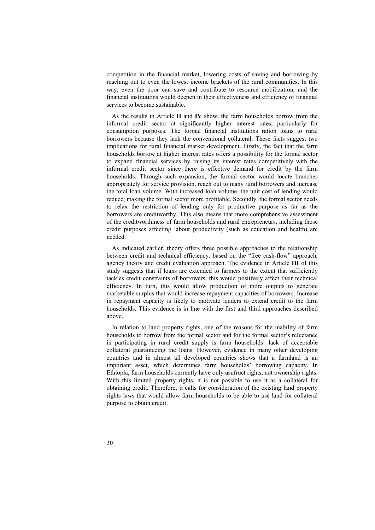competition in the financial market, lowering costs of saving and borrowing by reaching out to even the lowest income brackets of the rural communities. In this way, even the poor can save and contribute to resource mobilization, and the financial institutions would deepen in their effectiveness and efficiency of financial services to become sustainable.

As the results in Article **II** and **IV** show, the farm households borrow from the informal credit sector at significantly higher interest rates, particularly for consumption purposes. The formal financial institutions ration loans to rural borrowers because they lack the conventional collateral. These facts suggest two implications for rural financial market development. Firstly, the fact that the farm households borrow at higher interest rates offers a possibility for the formal sector to expand financial services by raising its interest rates competitively with the informal credit sector since there is effective demand for credit by the farm households. Through such expansion, the formal sector would locate branches appropriately for service provision, reach out to many rural borrowers and increase the total loan volume. With increased loan volume, the unit cost of lending would reduce, making the formal sector more profitable. Secondly, the formal sector needs to relax the restriction of lending only for productive purpose as far as the borrowers are creditworthy. This also means that more comprehensive assessment of the creditworthiness of farm households and rural entrepreneurs, including those credit purposes affecting labour productivity (such as education and health) are needed.

As indicated earlier, theory offers three possible approaches to the relationship between credit and technical efficiency, based on the "free cash-flow" approach, agency theory and credit evaluation approach. The evidence in Article **III** of this study suggests that if loans are extended to farmers to the extent that sufficiently tackles credit constraints of borrowers, this would positively affect their technical efficiency. In turn, this would allow production of more outputs to generate marketable surplus that would increase repayment capacities of borrowers. Increase in repayment capacity is likely to motivate lenders to extend credit to the farm households. This evidence is in line with the first and third approaches described above.

In relation to land property rights, one of the reasons for the inability of farm households to borrow from the formal sector and for the formal sector's reluctance in participating in rural credit supply is farm households' lack of acceptable collateral guaranteeing the loans. However, evidence in many other developing countries and in almost all developed countries shows that a farmland is an important asset, which determines farm households' borrowing capacity. In Ethiopia, farm households currently have only usufruct rights, not ownership rights. With this limited property rights, it is not possible to use it as a collateral for obtaining credit. Therefore, it calls for consideration of the existing land property rights laws that would allow farm households to be able to use land for collateral purpose to obtain credit.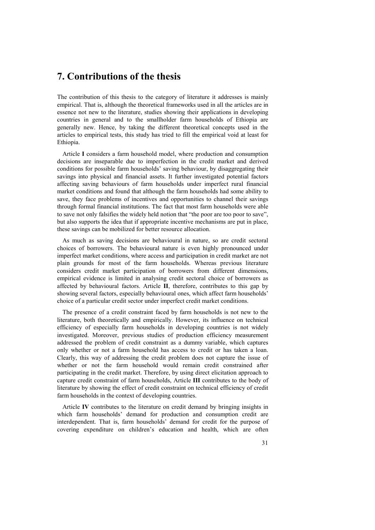## **7. Contributions of the thesis**

The contribution of this thesis to the category of literature it addresses is mainly empirical. That is, although the theoretical frameworks used in all the articles are in essence not new to the literature, studies showing their applications in developing countries in general and to the smallholder farm households of Ethiopia are generally new. Hence, by taking the different theoretical concepts used in the articles to empirical tests, this study has tried to fill the empirical void at least for Ethiopia.

Article **I** considers a farm household model, where production and consumption decisions are inseparable due to imperfection in the credit market and derived conditions for possible farm households' saving behaviour, by disaggregating their savings into physical and financial assets. It further investigated potential factors affecting saving behaviours of farm households under imperfect rural financial market conditions and found that although the farm households had some ability to save, they face problems of incentives and opportunities to channel their savings through formal financial institutions. The fact that most farm households were able to save not only falsifies the widely held notion that "the poor are too poor to save", but also supports the idea that if appropriate incentive mechanisms are put in place, these savings can be mobilized for better resource allocation.

As much as saving decisions are behavioural in nature, so are credit sectoral choices of borrowers. The behavioural nature is even highly pronounced under imperfect market conditions, where access and participation in credit market are not plain grounds for most of the farm households. Whereas previous literature considers credit market participation of borrowers from different dimensions, empirical evidence is limited in analysing credit sectoral choice of borrowers as affected by behavioural factors. Article **II**, therefore, contributes to this gap by showing several factors, especially behavioural ones, which affect farm households' choice of a particular credit sector under imperfect credit market conditions.

The presence of a credit constraint faced by farm households is not new to the literature, both theoretically and empirically. However, its influence on technical efficiency of especially farm households in developing countries is not widely investigated. Moreover, previous studies of production efficiency measurement addressed the problem of credit constraint as a dummy variable, which captures only whether or not a farm household has access to credit or has taken a loan. Clearly, this way of addressing the credit problem does not capture the issue of whether or not the farm household would remain credit constrained after participating in the credit market. Therefore, by using direct elicitation approach to capture credit constraint of farm households, Article **III** contributes to the body of literature by showing the effect of credit constraint on technical efficiency of credit farm households in the context of developing countries.

Article **IV** contributes to the literature on credit demand by bringing insights in which farm households' demand for production and consumption credit are interdependent. That is, farm households' demand for credit for the purpose of covering expenditure on children's education and health, which are often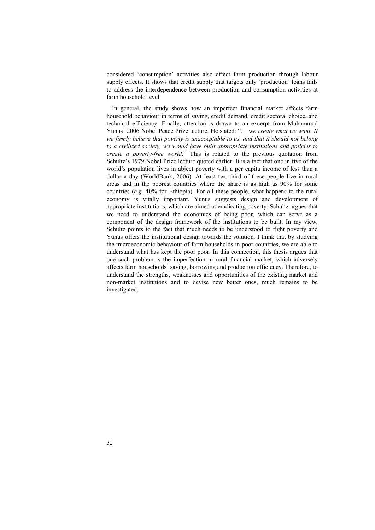considered 'consumption' activities also affect farm production through labour supply effects. It shows that credit supply that targets only 'production' loans fails to address the interdependence between production and consumption activities at farm household level.

In general, the study shows how an imperfect financial market affects farm household behaviour in terms of saving, credit demand, credit sectoral choice, and technical efficiency. Finally, attention is drawn to an excerpt from Muhammad Yunus' 2006 Nobel Peace Prize lecture. He stated: "… w*e create what we want. If we firmly believe that poverty is unacceptable to us, and that it should not belong to a civilized society, we would have built appropriate institutions and policies to create a poverty-free world*." This is related to the previous quotation from Schultz's 1979 Nobel Prize lecture quoted earlier. It is a fact that one in five of the world's population lives in abject poverty with a per capita income of less than a dollar a day (WorldBank, 2006). At least two-third of these people live in rural areas and in the poorest countries where the share is as high as 90% for some countries (*e.g.* 40% for Ethiopia). For all these people, what happens to the rural economy is vitally important. Yunus suggests design and development of appropriate institutions, which are aimed at eradicating poverty. Schultz argues that we need to understand the economics of being poor, which can serve as a component of the design framework of the institutions to be built. In my view, Schultz points to the fact that much needs to be understood to fight poverty and Yunus offers the institutional design towards the solution. I think that by studying the microeconomic behaviour of farm households in poor countries, we are able to understand what has kept the poor poor. In this connection, this thesis argues that one such problem is the imperfection in rural financial market, which adversely affects farm households' saving, borrowing and production efficiency. Therefore, to understand the strengths, weaknesses and opportunities of the existing market and non-market institutions and to devise new better ones, much remains to be investigated.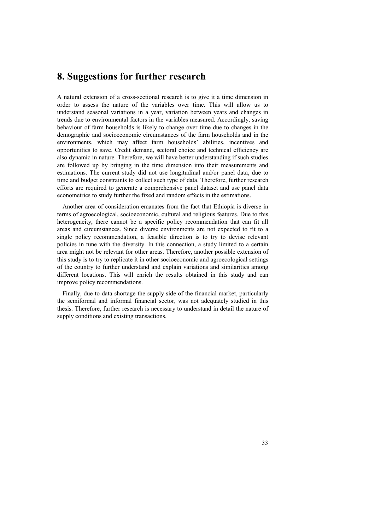## **8. Suggestions for further research**

A natural extension of a cross-sectional research is to give it a time dimension in order to assess the nature of the variables over time. This will allow us to understand seasonal variations in a year, variation between years and changes in trends due to environmental factors in the variables measured. Accordingly, saving behaviour of farm households is likely to change over time due to changes in the demographic and socioeconomic circumstances of the farm households and in the environments, which may affect farm households' abilities, incentives and opportunities to save. Credit demand, sectoral choice and technical efficiency are also dynamic in nature. Therefore, we will have better understanding if such studies are followed up by bringing in the time dimension into their measurements and estimations. The current study did not use longitudinal and/or panel data, due to time and budget constraints to collect such type of data. Therefore, further research efforts are required to generate a comprehensive panel dataset and use panel data econometrics to study further the fixed and random effects in the estimations.

Another area of consideration emanates from the fact that Ethiopia is diverse in terms of agroecological, socioeconomic, cultural and religious features. Due to this heterogeneity, there cannot be a specific policy recommendation that can fit all areas and circumstances. Since diverse environments are not expected to fit to a single policy recommendation, a feasible direction is to try to devise relevant policies in tune with the diversity. In this connection, a study limited to a certain area might not be relevant for other areas. Therefore, another possible extension of this study is to try to replicate it in other socioeconomic and agroecological settings of the country to further understand and explain variations and similarities among different locations. This will enrich the results obtained in this study and can improve policy recommendations.

Finally, due to data shortage the supply side of the financial market, particularly the semiformal and informal financial sector, was not adequately studied in this thesis. Therefore, further research is necessary to understand in detail the nature of supply conditions and existing transactions.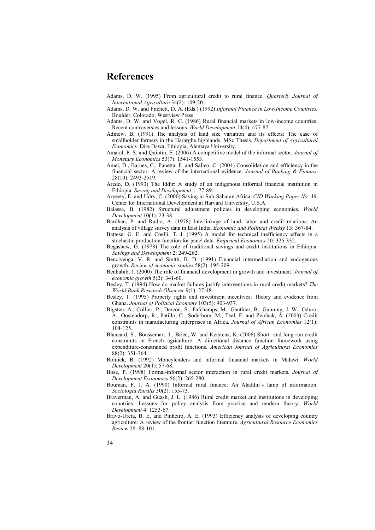## **References**

- Adams, D. W. (1995) From agricultural credit to rural finance. *Quarterly Journal of International Agriculture* 34(2): 109-20.
- Adams, D. W. and Fitchett, D. A. (Eds.) (1992) *Informal Finance in Low-Income Countries,*  Boulder, Colorado, Westview Press.
- Adams, D. W. and Vogel, R. C. (1986) Rural financial markets in low-income countries: Recent controversies and lessons. *World Development* 14(4): 477-87.
- Adinew, B. (1991) The analysis of land size variation and its effects: The case of smallholder farmers in the Hararghe highlands. MSc Thesis. *Department of Agricultural Economics.* Dire Dawa, Ethiopia, Alemaya University.
- Amaral, P. S. and Quintin, E. (2006) A competitive model of the informal sector. *Journal of Monetary Economics* 53(7): 1541-1553.
- Amel, D., Barnes, C., Panetta, F. and Salleo, C. (2004) Consolidation and efficiency in the financial sector: A review of the international evidence. *Journal of Banking & Finance* 28(10): 2493-2519.
- Aredo, D. (1993) The Iddir: A study of an indigenous informal financial institution in Ethiopia. *Saving and Development* 1: 77-89.
- Aryeety, E. and Udry, C. (2000) Saving in Sub-Saharan Africa. *CID Working Paper No. 38.* Center for International Development at Harvard University, U.S.A.
- Balassa, B. (1982) Structural adjustment policies in developing economies. *World Development* 10(1): 23-38.
- Bardhan, P. and Rudra, A. (1978) Interlinkage of land, labor and credit relations: An analysis of village survey data in East India. *Economic and Political Weekly* 13: 367-84.
- Battese, G. E. and Coelli, T. J. (1995) A model for technical inefficiency effects in a stochastic production function for panel data. *Empirical Economics* 20: 325-332.
- Begashaw, G. (1978) The role of traditional savings and credit institutions in Ethiopia. *Savings and Development* 2: 249-262.
- Bencivenga, V. R. and Smith, B. D. (1991) Financial intermediation and endogenous growth. *Review of economic studies* 58(2): 195-209.
- Benhabib, J. (2000) The role of financial development in growth and investment. *Journal of economic growth* 5(2): 341-60.
- Besley, T. (1994) How do market failures justify interventions in rural credit markets? *The World Bank Research Observer* 9(1): 27-48.
- Besley, T. (1995) Property rights and investment incentives: Theory and evidence from Ghana. *Journal of Political Economy* 103(5): 903-937.
- Bigsten, A., Collier, P., Dercon, S., Fafchamps, M., Gauthier, B., Gunning, J. W., Oduro, A., Oostendorp, R., Patillo, C., Söderbom, M., Teal, F. and Zeufack, A. (2003) Credit constraints in manufacturing enterprises in Africa. *Journal of African Economies* 12(1): 104-125.
- Blancard, S., Boussemart, J., Briec, W. and Kerstens, K. (2006) Short- and long-run credit constraints in French agriculture: A directional distance function framework using expenditure-constrained profit functions. *American Journal of Agricultural Economics* 88(2): 351-364.
- Bolnick, B. (1992) Moneylenders and informal financial markets in Malawi. *World Development* 20(1): 57-68.
- Bose, P. (1998) Formal-informal sector interaction in rural credit markets. *Journal of Development Economics* 56(2): 265-280.
- Bouman, F. J. A. (1990) Informal rural finance: An Aladdin's lamp of information. *Sociologia Ruralis* 30(2): 155-73.
- Braverman, A. and Guash, J. L. (1986) Rural credit market and institutions in developing countries: Lessons for policy analysis from practice and modern theory. *World Development* 4: 1253-67.
- Bravo-Ureta, B. E. and Pinheiro, A. E. (1993) Efficiency analysis of developing country agriculture: A review of the frontier function literature. *Agricultural Resource Economics Review* 28: 88-101.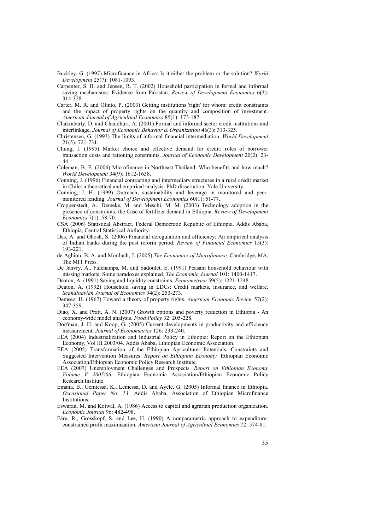- Buckley, G. (1997) Microfinance in Africa: Is it either the problem or the solution? *World Development* 25(7): 1081-1093.
- Carpenter, S. B. and Jensen, R. T. (2002) Household participation in formal and informal saving mechanisms: Evidence from Pakistan. *Review of Development Economics* 6(3): 314-328.
- Carter, M. R. and Olinto, P. (2003) Getting institutions 'right' for whom: credit constraints and the impact of property rights on the quantity and composition of investment. *American Journal of Agricultual Economics* 85(1): 173-187.
- Chakrabarty, D. and Chaudhuri, A. (2001) Formal and informal sector credit institutions and interlinkage. *Journal of Economic Behavior & Organization* 46(3): 313-325.
- Christensen, G. (1993) The limits of informal financial intermediation. *World Development* 21(5): 721-731.
- Chung, I. (1995) Market choice and effective demand for credit: roles of borrower transaction costs and rationing constraints. *Journal of Economic Development* 20(2): 23- 44.
- Coleman, B. E. (2006) Microfinance in Northeast Thailand: Who benefits and how much? *World Development* 34(9): 1612-1638.
- Conning, J. (1996) Financial contracting and intermediary structures in a rural credit market in Chile: a theoretical and empirical analysis. PhD dissertation. Yale University.
- Conning, J. H. (1999) Outreach, sustainability and leverage in monitored and peermonitored lending. *Journal of Development Economics* 60(1): 51-77.
- Croppenstedt, A., Demeke, M. and Meschi, M. M. (2003) Technology adoption in the presence of constraints: the Case of fertilizer demand in Ethiopia. *Review of Development Economics* 7(1): 58-70.
- CSA (2006) Statistical Abstract. Federal Democratic Republic of Ethiopia. Addis Ababa, Ethiopia, Central Statistical Authority.
- Das, A. and Ghosh, S. (2006) Financial deregulation and efficiency: An empirical analysis of Indian banks during the post reform period. *Review of Financial Economics* 15(3): 193-221.
- de Aghion, B. A. and Morduch, J. (2005) *The Economics of Microfinance,* Cambridge, MA, The MIT Press.
- De Janvry, A., Fafchamps, M. and Sadoulet, E. (1991) Peasant household behaviour with missing markets: Some paradoxes explained. *The Economic Journal* 101: 1400-1417.
- Deaton, A. (1991) Saving and liquidity constraints. *Econometrica* 59(5): 1221-1248.
- Deaton, A. (1992) Household saving in LDCs: Credit markets, insurance, and welfare. *Scandinavian Journal of Economics* 94(2): 253-273.
- Demsez, H. (1967) Toward a theory of property rights. *American Economic Review* 57(2): 347-359.
- Diao, X. and Pratt, A. N. (2007) Growth options and poverty reduction in Ethiopia An economy-wide model analysis. *Food Policy* 32: 205-228.
- Dorfman, J. H. and Koop, G. (2005) Current developments in productivity and efficiency measurement. *Journal of Econometrics* 126: 233-240.
- EEA (2004) Industrialization and Industrial Policy in Ethiopia: Report on the Ethiopian Economy, Vol III 2003/04. Addis Ababa, Ethiopian Economic Association.
- EEA (2005) Transformation of the Ethiopian Agriculture: Potentials, Constraints and Suggested Intervention Measures. *Report on Ethiopian Economy.* Ethiopian Economic Association/Ethiopian Economic Policy Research Institute.
- EEA (2007) Unemployment Challenges and Prospects. *Report on Ethiopian Economy Volume V 2005/06.* Ethiopian Economic Association/Ethiopian Economic Policy Research Institute.
- Emana, B., Gemtessa, K., Lemessa, D. and Ayele, G. (2005) Informal finance in Ethiopia. *Occasional Paper No. 13.* Addis Ababa, Association of Ethiopian Microfinance **Institutions**
- Eswaran, M. and Kotwal, A. (1986) Access to capital and agrarian production organization. *Economic Journal* 96: 482-498.
- Färe, R., Grosskopf, S. and Lee, H. (1990) A nonparametric approach to expenditureconstrained profit maximization. *American Journal of Agricultual Economics* 72: 574-81.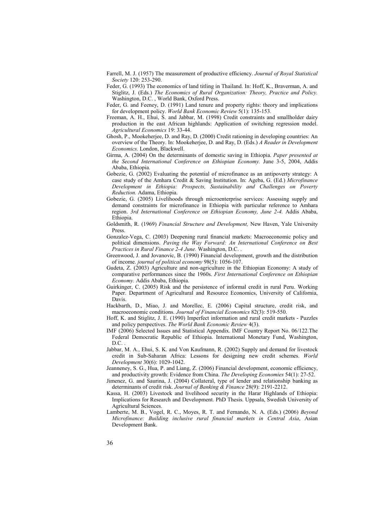- Farrell, M. J. (1957) The measurement of productive efficiency. *Journal of Royal Statistical Society* 120: 253-290.
- Feder, G. (1993) The economics of land titling in Thailand. In: Hoff, K., Braverman, A. and Stiglitz, J. (Eds.) *The Economics of Rural Organization: Theory, Practice and Policy.*  Washington, D.C. , World Bank, Oxford Press.
- Feder, G. and Feeney, D. (1991) Land tenure and property rights: theory and implications for development policy. *World Bank Economic Review* 5(1): 135-153.
- Freeman, A. H., Ehui, S. and Jabbar, M. (1998) Credit constraints and smallholder dairy production in the east African highlands: Application of switching regression model. *Agricultural Economics* 19: 33-44.
- Ghosh, P., Mookeherjee, D. and Ray, D. (2000) Credit rationing in developing countries: An overview of the Theory. In: Mookeherjee, D. and Ray, D. (Eds.) *A Reader in Development Economics.* London, Blackwell.
- Girma, A. (2004) On the determinants of domestic saving in Ethiopia. *Paper presented at the Second International Conference on Ethiopian Economy.* June 3-5, 2004, Addis Ababa, Ethiopia.
- Gobezie, G. (2002) Evaluating the potential of microfinance as an antipoverty strategy: A case study of the Amhara Credit & Saving Institution. In: Ageba, G. (Ed.) *Microfinance Development in Ethiopia: Prospects, Sustainability and Challenges on Poverty Reduction.* Adama, Ethiopia.
- Gobezie, G. (2005) Livelihoods through microenterprise services: Assessing supply and demand constraints for microfinance in Ethiopia with particular reference to Amhara region. *3rd International Conference on Ethiopian Economy, June 2-4.* Addis Ababa, Ethiopia.
- Goldsmith, R. (1969) *Financial Structure and Development,* New Haven, Yale University Press.
- Gonzalez-Vega, C. (2003) Deepening rural financial markets: Macroeconomic policy and political dimensions. *Paving the Way Forward: An International Conference on Best Practices in Rural Finance 2-4 June.* Washington, D.C. .
- Greenwood, J. and Jovanovic, B. (1990) Financial development, growth and the distribution of income. *journal of political economy* 98(5): 1056-107.
- Gudeta, Z. (2003) Agriculture and non-agriculture in the Ethiopian Economy: A study of comparative performances since the 1960s. *First International Conference on Ethiopian Economy.* Addis Ababa, Ethiopia.
- Guirkinger, C. (2005) Risk and the persistence of informal credit in rural Peru. Working Paper. Department of Agricultural and Resource Economics, University of California, Davis.
- Hackbarth, D., Miao, J. and Morellec, E. (2006) Capital structure, credit risk, and macroeconomic conditions. *Journal of Financial Economics* 82(3): 519-550.
- Hoff, K. and Stiglitz, J. E. (1990) Imperfect information and rural credit markets Puzzles and policy perspectives. *The World Bank Economic Review* 4(3).
- IMF (2006) Selected Issues and Statistical Appendix. IMF Country Report No. 06/122.The Federal Democratic Republic of Ethiopia. International Monetary Fund, Washington,  $D^{\circ}C$ .
- Jabbar, M. A., Ehui, S. K. and Von Kaufmann, R. (2002) Supply and demand for livestock credit in Sub-Saharan Africa: Lessons for designing new credit schemes. *World Development* 30(6): 1029-1042.
- Jeanneney, S. G., Hua, P. and Liang, Z. (2006) Financial development, economic efficiency, and productivity growth: Evidence from China. *The Developing Economies* 54(1): 27-52.
- Jimenez, G. and Saurina, J. (2004) Collateral, type of lender and relationship banking as determinants of credit risk. *Journal of Banking & Finance* 28(9): 2191-2212.
- Kassa, H. (2003) Livestock and livelihood security in the Harar Highlands of Ethiopia: Implications for Research and Development. PhD Thesis. Uppsala, Swedish University of Agricultural Sciences.
- Lamberte, M. B., Vogel, R. C., Moyes, R. T. and Fernando, N. A. (Eds.) (2006) *Beyond Microfinance: Building inclusive rural financial markets in Central Asia*, Asian Development Bank.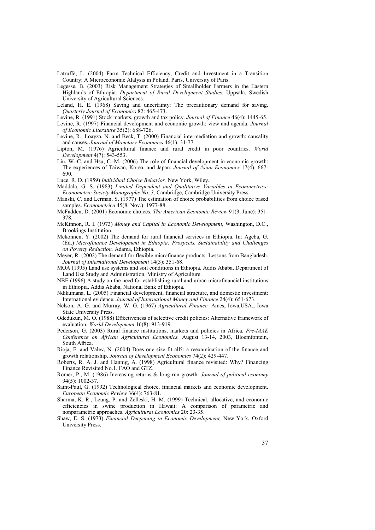- Latruffe, L. (2004) Farm Technical Efficiency, Credit and Investment in a Transition Country: A Microeconomic Alalysis in Poland. Paris, University of Paris.
- Legesse, B. (2003) Risk Management Strategies of Smallholder Farmers in the Eastern Highlands of Ethiopia. *Department of Rural Development Studies.* Uppsala, Swedish University of Agricultural Sciences.
- Leland, H. E. (1968) Saving and uncertainty: The precautionary demand for saving. *Quarterly Journal of Economics* 82: 465-473.
- Levine, R. (1991) Stock markets, growth and tax policy. *Journal of Finance* 46(4): 1445-65.
- Levine, R. (1997) Financial development and economic growth: view and agenda. *Journal of Economic Literature* 35(2): 688-726.
- Levine, R., Loayza, N. and Beck, T. (2000) Financial intermediation and growth: causality and causes. *Journal of Monetary Economics* 46(1): 31-77.
- Lipton, M. (1976) Agricultural finance and rural credit in poor countries. *World Development* 4(7): 543-553.
- Liu, W.-C. and Hsu, C.-M. (2006) The role of financial development in economic growth: The experiences of Taiwan, Korea, and Japan. *Journal of Asian Economics* 17(4): 667- 690.
- Luce, R. D. (1959) *Individual Choice Behavior,* New York, Wiley.
- Maddala, G. S. (1983) *Limited Dependent and Qualitative Variables in Econometrics: Econometric Society Monographs No. 3,* Cambridge, Cambridge University Press.
- Manski, C. and Lerman, S. (1977) The estimation of choice probabilities from choice based samples. *Econometrica* 45(8, Nov.): 1977-88.
- McFadden, D. (2001) Economic choices. *The American Economic Review* 91(3, June): 351- 378.
- McKinnon, R. I. (1973) *Money and Capital in Economic Development,* Washington, D.C., Brookings Institution.
- Mekonnen, Y. (2002) The demand for rural financial services in Ethiopia. In: Ageba, G. (Ed.) *Microfinance Development in Ethiopia: Prospects, Sustainability and Challenges on Poverty Reduction.* Adama, Ethiopia.
- Meyer, R. (2002) The demand for flexible microfinance products: Lessons from Bangladesh. *Journal of International Development* 14(3): 351-68.
- MOA (1995) Land use systems and soil conditions in Ethiopia. Addis Ababa, Department of Land Use Study and Administration, Ministry of Agriculture.
- NBE (1996) A study on the need for establishing rural and urban microfinancial institutions in Ethiopia. Addis Ababa, National Bank of Ethiopia.
- Ndikumana, L. (2005) Financial development, financial structure, and domestic investment: International evidence. *Journal of International Money and Finance* 24(4): 651-673.
- Nelson, A. G. and Murray, W. G. (1967) *Agricultural Finance,* Ames, Iowa,USA., Iowa State University Press.
- Odedukun, M. O. (1988) Effectiveness of selective credit policies: Alternative framework of evaluation. *World Development* 16(8): 913-919.
- Pederson, G. (2003) Rural finance institutions, markets and policies in Africa. *Pre-IAAE Conference on African Agricultural Economics.* August 13-14, 2003, Bloemfontein, South Africa.
- Rioja, F. and Valev, N. (2004) Does one size fit all?: a reexamination of the finance and growth relationship. *Journal of Development Economics* 74(2): 429-447.
- Roberts, R. A. J. and Hannig, A. (1998) Agricultural finance revisited: Why? Financing Finance Revisited No.1. FAO and GTZ.
- Romer, P., M. (1986) Increasing returns & long-run growth. *Journal of political economy* 94(5): 1002-37.
- Saint-Paul, G. (1992) Technological choice, financial markets and economic development. *European Economic Review* 36(4): 763-81.
- Sharma, K. R., Leung, P. and Zelleski, H. M. (1999) Technical, allocative, and economic efficiencies in swine production in Hawaii: A comparison of parametric and nonparametric approaches. *Agricultural Economics* 20: 23-35.
- Shaw, E. S. (1973) *Financial Deepening in Economic Development,* New York, Oxford University Press.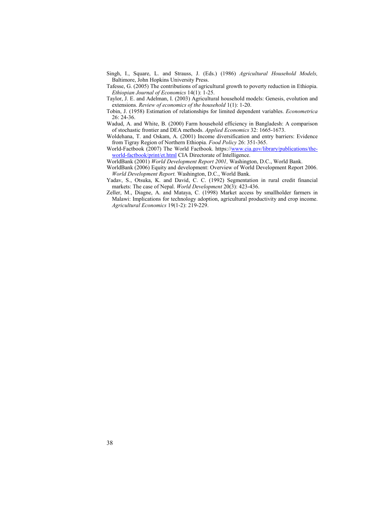Singh, I., Square, L. and Strauss, J. (Eds.) (1986) *Agricultural Household Models,*  Baltimore, John Hopkins University Press.

Tafesse, G. (2005) The contributions of agricultural growth to poverty reduction in Ethiopia. *Ethiopian Journal of Economics* 14(1): 1-25.

Taylor, J. E. and Adelman, I. (2003) Agricultural household models: Genesis, evolution and extensions. *Review of economics of the household* 1(1): 1-20.

Tobin, J. (1958) Estimation of relationships for limited dependent variables. *Econometrica* 26: 24-36.

Wadud, A. and White, B. (2000) Farm household efficiency in Bangladesh: A comparison of stochastic frontier and DEA methods. *Applied Economics* 32: 1665-1673.

Woldehana, T. and Oskam, A. (2001) Income diversification and entry barriers: Evidence from Tigray Region of Northern Ethiopia. *Food Policy* 26: 351-365.

World-Factbook (2007) The World Factbook. https://www.cia.gov/library/publications/theworld-factbook/print/et.html CIA Directorate of Intelligence.

WorldBank (2001) *World Development Report 2001,* Washington, D.C., World Bank.

WorldBank (2006) Equity and development: Overview of World Development Report 2006. *World Development Report.* Washington, D.C., World Bank.

Yadav, S., Otsuka, K. and David, C. C. (1992) Segmentation in rural credit financial markets: The case of Nepal. *World Development* 20(3): 423-436.

Zeller, M., Diagne, A. and Mataya, C. (1998) Market access by smallholder farmers in Malawi: Implications for technology adoption, agricultural productivity and crop income. *Agricultural Economics* 19(1-2): 219-229.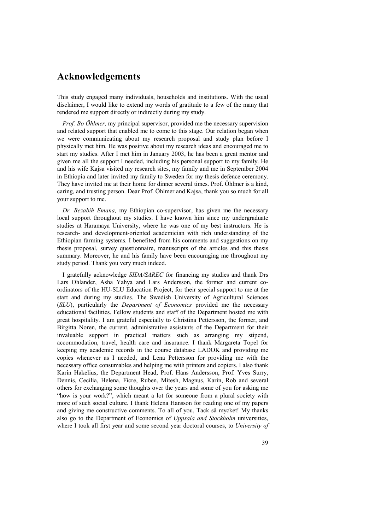## **Acknowledgements**

This study engaged many individuals, households and institutions. With the usual disclaimer, I would like to extend my words of gratitude to a few of the many that rendered me support directly or indirectly during my study.

*Prof. Bo Öhlmer,* my principal supervisor, provided me the necessary supervision and related support that enabled me to come to this stage. Our relation began when we were communicating about my research proposal and study plan before I physically met him. He was positive about my research ideas and encouraged me to start my studies. After I met him in January 2003, he has been a great mentor and given me all the support I needed, including his personal support to my family. He and his wife Kajsa visited my research sites, my family and me in September 2004 in Ethiopia and later invited my family to Sweden for my thesis defence ceremony. They have invited me at their home for dinner several times. Prof. Öhlmer is a kind, caring, and trusting person. Dear Prof. Öhlmer and Kajsa, thank you so much for all your support to me.

*Dr. Bezabih Emana,* my Ethiopian co-supervisor, has given me the necessary local support throughout my studies. I have known him since my undergraduate studies at Haramaya University, where he was one of my best instructors. He is research- and development-oriented academician with rich understanding of the Ethiopian farming systems. I benefited from his comments and suggestions on my thesis proposal, survey questionnaire, manuscripts of the articles and this thesis summary. Moreover, he and his family have been encouraging me throughout my study period. Thank you very much indeed.

I gratefully acknowledge *SIDA/SAREC* for financing my studies and thank Drs Lars Ohlander, Asha Yahya and Lars Andersson, the former and current coordinators of the HU-SLU Education Project, for their special support to me at the start and during my studies. The Swedish University of Agricultural Sciences (*SLU*), particularly the *Department of Economics* provided me the necessary educational facilities. Fellow students and staff of the Department hosted me with great hospitality. I am grateful especially to Christina Pettersson, the former, and Birgitta Noren, the current, administrative assistants of the Department for their invaluable support in practical matters such as arranging my stipend, accommodation, travel, health care and insurance. I thank Margareta Topel for keeping my academic records in the course database LADOK and providing me copies whenever as I needed, and Lena Pettersson for providing me with the necessary office consumables and helping me with printers and copiers. I also thank Karin Hakelius, the Department Head, Prof. Hans Andersson, Prof. Yves Surry, Dennis, Cecilia, Helena, Ficre, Ruben, Mitesh, Magnus, Karin, Rob and several others for exchanging some thoughts over the years and some of you for asking me "how is your work?", which meant a lot for someone from a plural society with more of such social culture. I thank Helena Hansson for reading one of my papers and giving me constructive comments. To all of you, Tack så mycket! My thanks also go to the Department of Economics of *Uppsala and Stockholm* universities, where I took all first year and some second year doctoral courses, to *University of*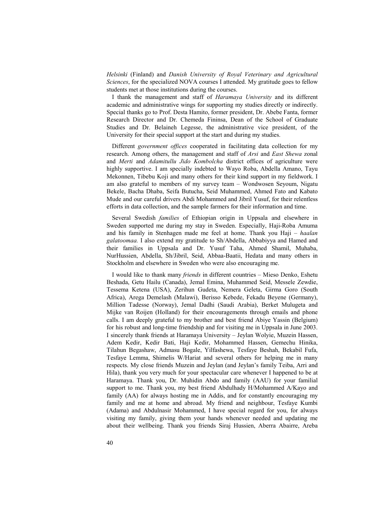*Helsinki* (Finland) and *Danish University of Royal Veterinary and Agricultural Sciences*, for the specialized NOVA courses I attended. My gratitude goes to fellow students met at those institutions during the courses.

I thank the management and staff of *Haramaya University* and its different academic and administrative wings for supporting my studies directly or indirectly. Special thanks go to Prof. Desta Hamito, former president, Dr. Abebe Fanta, former Research Director and Dr. Chemeda Fininsa, Dean of the School of Graduate Studies and Dr. Belaineh Legesse, the administrative vice president, of the University for their special support at the start and during my studies.

Different *government offices* cooperated in facilitating data collection for my research. Among others, the management and staff of *Arsi* and *East Shewa* zonal and *Merti* and *Adamitullu Jido Kombolcha* district offices of agriculture were highly supportive. I am specially indebted to Wayo Roba, Abdella Amano, Tayu Mekonnen, Tibebu Koji and many others for their kind support in my fieldwork. I am also grateful to members of my survey team – Wondwosen Seyoum, Nigatu Bekele, Bacha Dhaba, Seifa Butucha, Seid Muhammed, Ahmed Fato and Kabato Mude and our careful drivers Abdi Mohammed and Jibril Yusuf, for their relentless efforts in data collection, and the sample farmers for their information and time.

Several Swedish *families* of Ethiopian origin in Uppsala and elsewhere in Sweden supported me during my stay in Sweden. Especially, Haji-Roba Amuma and his family in Stenhagen made me feel at home. Thank you Haji – *haalan galatoomaa.* I also extend my gratitude to Sh/Abdella, Abbabiyya and Hamed and their families in Uppsala and Dr. Yusuf Taha, Ahmed Shamil, Muhaba, NurHussien, Abdella, Sh/Jibril, Seid, Abbaa-Baatii, Hedata and many others in Stockholm and elsewhere in Sweden who were also encouraging me.

I would like to thank many *friends* in different countries – Mieso Denko, Eshetu Beshada, Getu Hailu (Canada), Jemal Emina, Muhammed Seid, Messele Zewdie, Tessema Ketena (USA), Zerihun Gudeta, Nemera Geleta, Girma Goro (South Africa), Arega Demelash (Malawi), Berisso Kebede, Fekadu Beyene (Germany), Million Tadesse (Norway), Jemal Dadhi (Saudi Arabia), Berket Mulugeta and Mijke van Roijen (Holland) for their encouragements through emails and phone calls. I am deeply grateful to my brother and best friend Abiye Yassin (Belgium) for his robust and long-time friendship and for visiting me in Uppsala in June 2003. I sincerely thank friends at Haramaya University – Jeylan Wolyie, Muzein Hassen, Adem Kedir, Kedir Bati, Haji Kedir, Mohammed Hassen, Gemechu Hinika, Tilahun Begashaw, Admasu Bogale, Yilfashewa, Tesfaye Beshah, Bekabil Fufa, Tesfaye Lemma, Shimelis W/Hariat and several others for helping me in many respects. My close friends Muzein and Jeylan (and Jeylan's family Teiba, Arri and Hila), thank you very much for your spectacular care whenever I happened to be at Haramaya. Thank you, Dr. Muhidin Abdo and family (AAU) for your familial support to me. Thank you, my best friend Abdulhady H/Mohammed A/Kayo and family (AA) for always hosting me in Addis, and for constantly encouraging my family and me at home and abroad. My friend and neighbour, Tesfaye Kumbi (Adama) and Abdulnasir Mohammed, I have special regard for you, for always visiting my family, giving them your hands whenever needed and updating me about their wellbeing. Thank you friends Siraj Hussien, Aberra Abairre, Areba